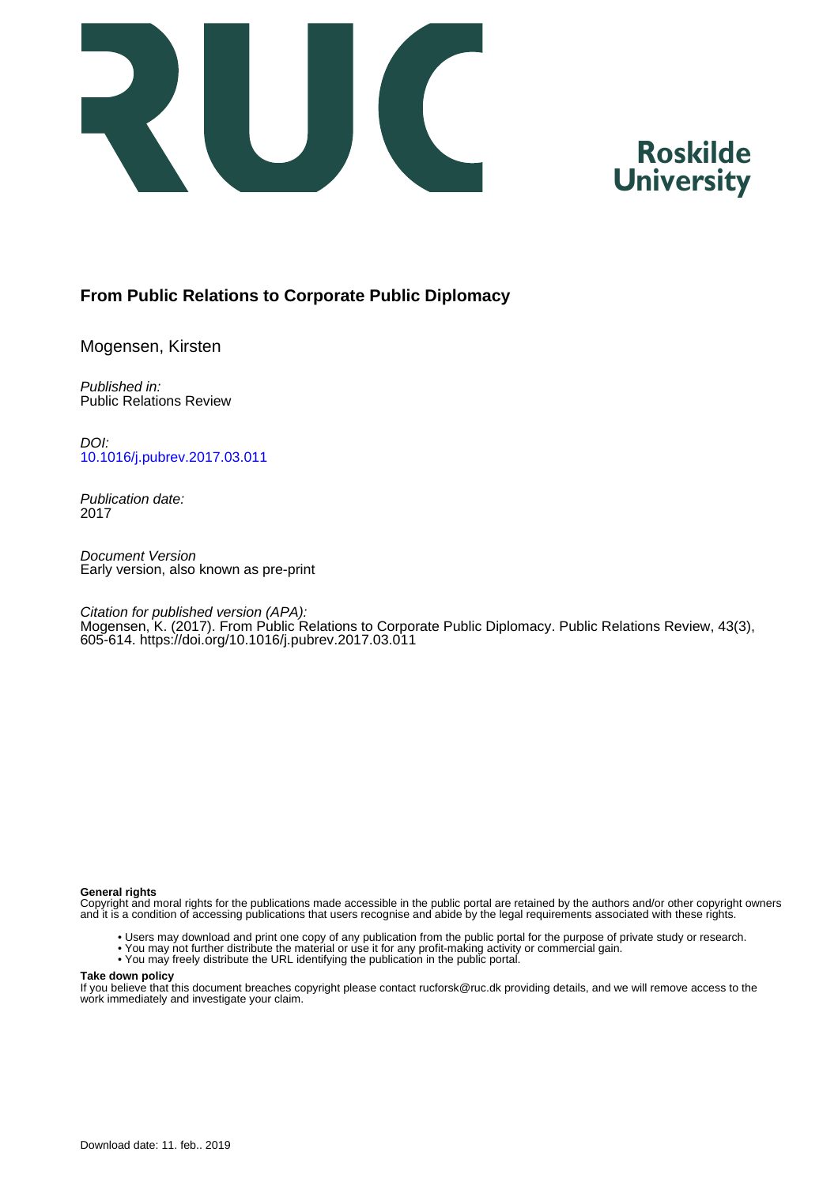

# **Roskilde University**

## **From Public Relations to Corporate Public Diplomacy**

Mogensen, Kirsten

Published in: Public Relations Review

DOI: [10.1016/j.pubrev.2017.03.011](https://doi.org/10.1016/j.pubrev.2017.03.011)

Publication date: 2017

Document Version Early version, also known as pre-print

Citation for published version (APA): Mogensen, K. (2017). From Public Relations to Corporate Public Diplomacy. Public Relations Review, 43(3), 605-614. https://doi.org/10.1016/j.pubrev.2017.03.011

#### **General rights**

Copyright and moral rights for the publications made accessible in the public portal are retained by the authors and/or other copyright owners and it is a condition of accessing publications that users recognise and abide by the legal requirements associated with these rights.

- Users may download and print one copy of any publication from the public portal for the purpose of private study or research.
- You may not further distribute the material or use it for any profit-making activity or commercial gain.
- You may freely distribute the URL identifying the publication in the public portal.

#### **Take down policy**

If you believe that this document breaches copyright please contact rucforsk@ruc.dk providing details, and we will remove access to the work immediately and investigate your claim.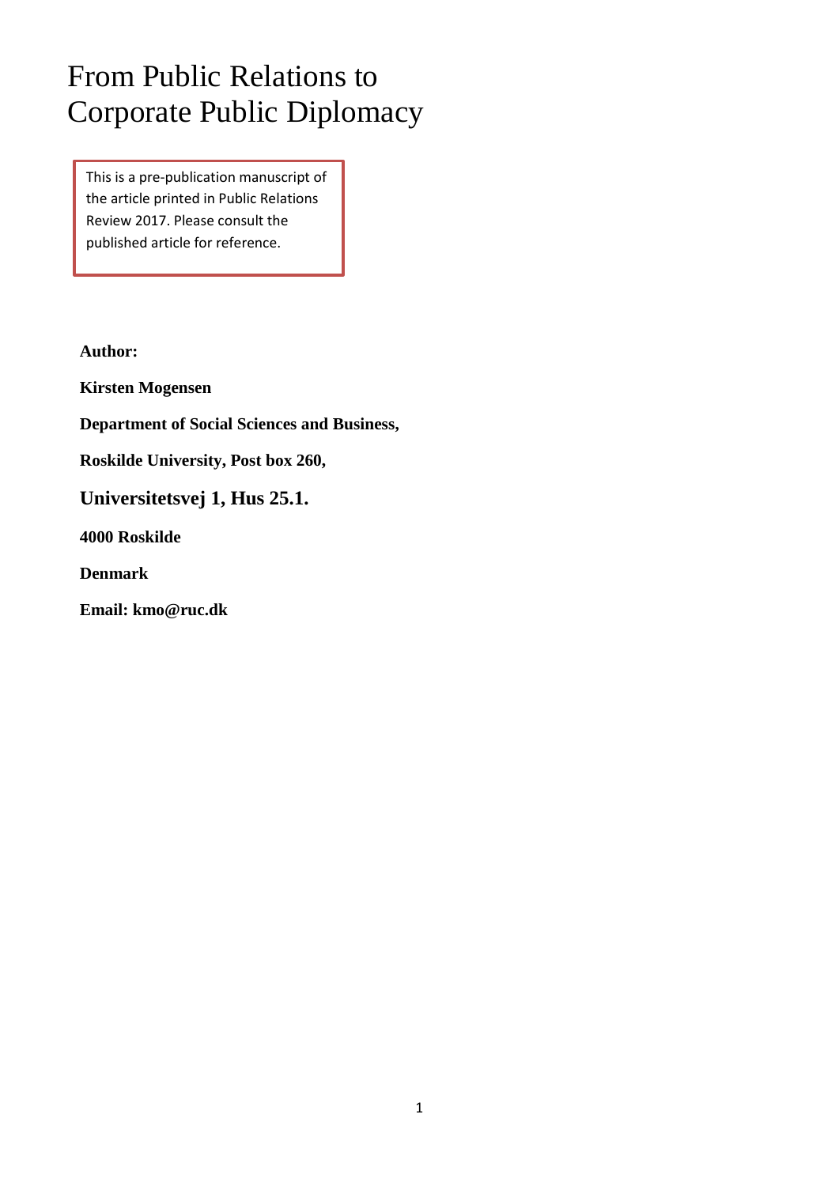# From Public Relations to Corporate Public Diplomacy

This is a pre-publication manuscript of the article printed in Public Relations Review 2017. Please consult the published article for reference.

**Author:**

**Kirsten Mogensen**

**Department of Social Sciences and Business,** 

**Roskilde University, Post box 260,**

**Universitetsvej 1, Hus 25.1.** 

**4000 Roskilde**

**Denmark**

**Email: kmo@ruc.dk**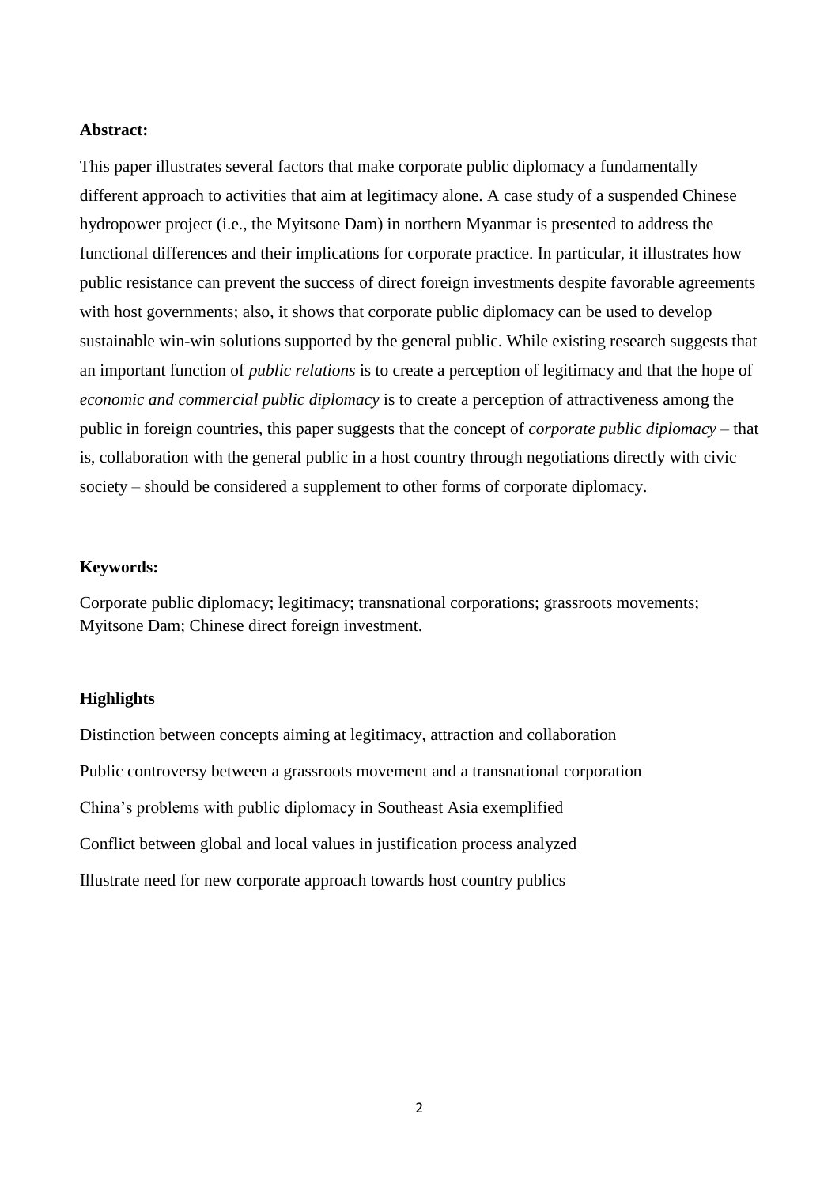## **Abstract:**

This paper illustrates several factors that make corporate public diplomacy a fundamentally different approach to activities that aim at legitimacy alone. A case study of a suspended Chinese hydropower project (i.e., the Myitsone Dam) in northern Myanmar is presented to address the functional differences and their implications for corporate practice. In particular, it illustrates how public resistance can prevent the success of direct foreign investments despite favorable agreements with host governments; also, it shows that corporate public diplomacy can be used to develop sustainable win-win solutions supported by the general public. While existing research suggests that an important function of *public relations* is to create a perception of legitimacy and that the hope of *economic and commercial public diplomacy* is to create a perception of attractiveness among the public in foreign countries, this paper suggests that the concept of *corporate public diplomacy* – that is, collaboration with the general public in a host country through negotiations directly with civic society – should be considered a supplement to other forms of corporate diplomacy.

## **Keywords:**

Corporate public diplomacy; legitimacy; transnational corporations; grassroots movements; Myitsone Dam; Chinese direct foreign investment.

## **Highlights**

Distinction between concepts aiming at legitimacy, attraction and collaboration Public controversy between a grassroots movement and a transnational corporation China's problems with public diplomacy in Southeast Asia exemplified Conflict between global and local values in justification process analyzed Illustrate need for new corporate approach towards host country publics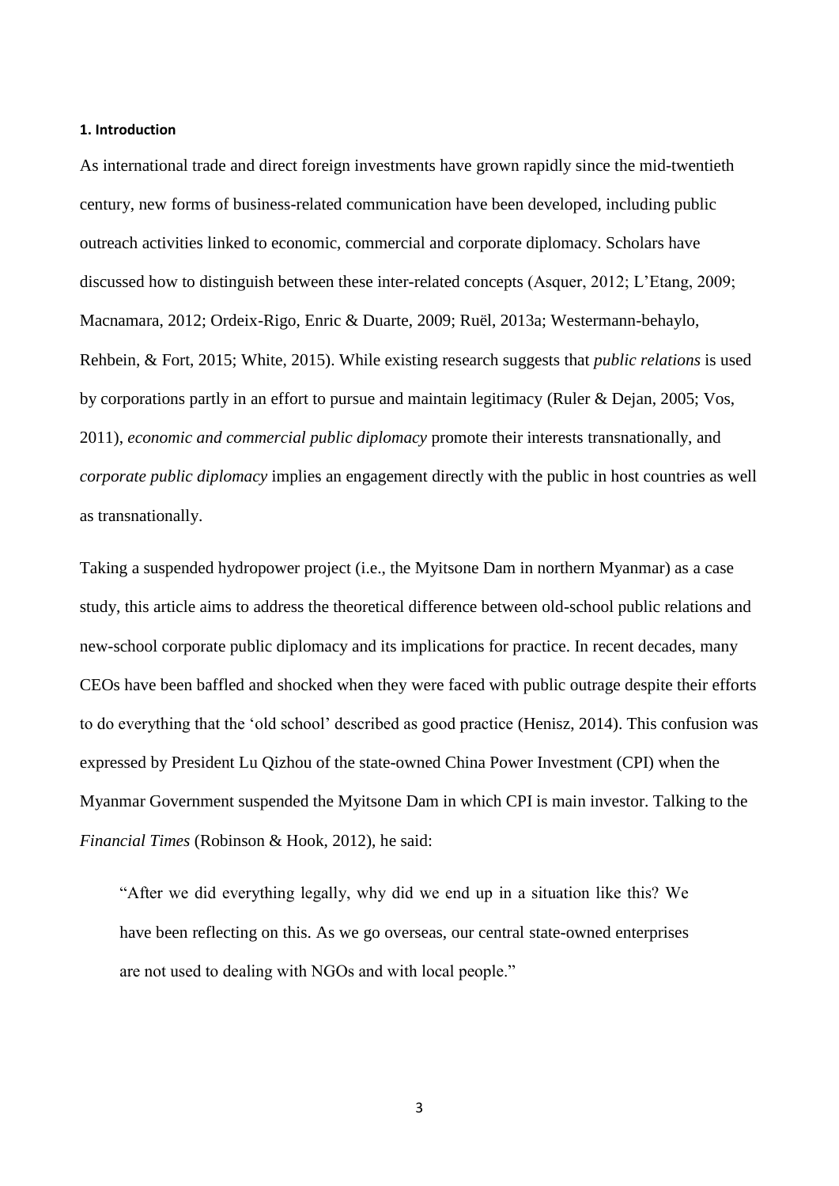#### **1. Introduction**

As international trade and direct foreign investments have grown rapidly since the mid-twentieth century, new forms of business-related communication have been developed, including public outreach activities linked to economic, commercial and corporate diplomacy. Scholars have discussed how to distinguish between these inter-related concepts (Asquer, 2012; L'Etang, 2009; Macnamara, 2012; Ordeix-Rigo, Enric & Duarte, 2009; Ruël, 2013a; Westermann-behaylo, Rehbein, & Fort, 2015; White, 2015). While existing research suggests that *public relations* is used by corporations partly in an effort to pursue and maintain legitimacy (Ruler & Dejan, 2005; Vos, 2011), *economic and commercial public diplomacy* promote their interests transnationally, and *corporate public diplomacy* implies an engagement directly with the public in host countries as well as transnationally.

Taking a suspended hydropower project (i.e., the Myitsone Dam in northern Myanmar) as a case study, this article aims to address the theoretical difference between old-school public relations and new-school corporate public diplomacy and its implications for practice. In recent decades, many CEOs have been baffled and shocked when they were faced with public outrage despite their efforts to do everything that the 'old school' described as good practice (Henisz, 2014). This confusion was expressed by President Lu Qizhou of the state-owned China Power Investment (CPI) when the Myanmar Government suspended the Myitsone Dam in which CPI is main investor. Talking to the *Financial Times* (Robinson & Hook, 2012), he said:

"After we did everything legally, why did we end up in a situation like this? We have been reflecting on this. As we go overseas, our central state-owned enterprises are not used to dealing with NGOs and with local people."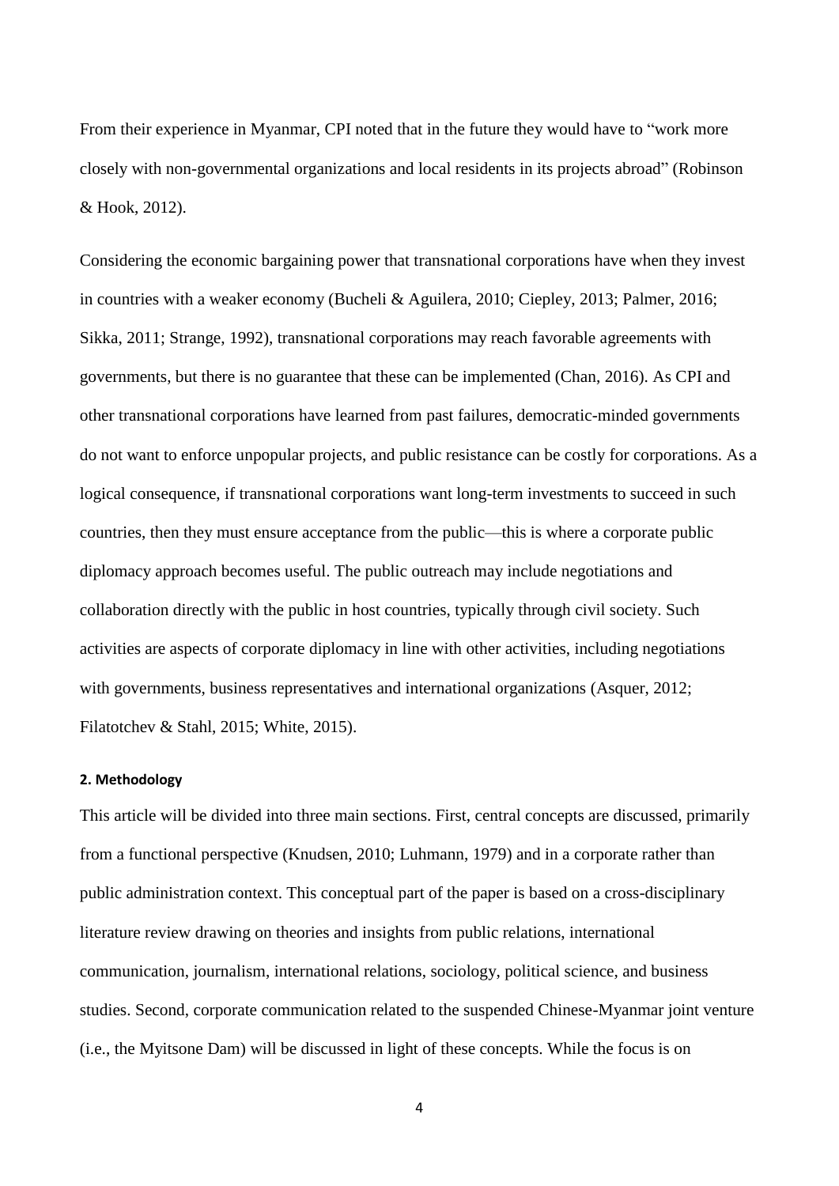From their experience in Myanmar, CPI noted that in the future they would have to "work more closely with non-governmental organizations and local residents in its projects abroad" (Robinson & Hook, 2012).

Considering the economic bargaining power that transnational corporations have when they invest in countries with a weaker economy (Bucheli & Aguilera, 2010; Ciepley, 2013; Palmer, 2016; Sikka, 2011; Strange, 1992), transnational corporations may reach favorable agreements with governments, but there is no guarantee that these can be implemented (Chan, 2016). As CPI and other transnational corporations have learned from past failures, democratic-minded governments do not want to enforce unpopular projects, and public resistance can be costly for corporations. As a logical consequence, if transnational corporations want long-term investments to succeed in such countries, then they must ensure acceptance from the public—this is where a corporate public diplomacy approach becomes useful. The public outreach may include negotiations and collaboration directly with the public in host countries, typically through civil society. Such activities are aspects of corporate diplomacy in line with other activities, including negotiations with governments, business representatives and international organizations (Asquer, 2012; Filatotchev & Stahl, 2015; White, 2015).

## **2. Methodology**

This article will be divided into three main sections. First, central concepts are discussed, primarily from a functional perspective (Knudsen, 2010; Luhmann, 1979) and in a corporate rather than public administration context. This conceptual part of the paper is based on a cross-disciplinary literature review drawing on theories and insights from public relations, international communication, journalism, international relations, sociology, political science, and business studies. Second, corporate communication related to the suspended Chinese-Myanmar joint venture (i.e., the Myitsone Dam) will be discussed in light of these concepts. While the focus is on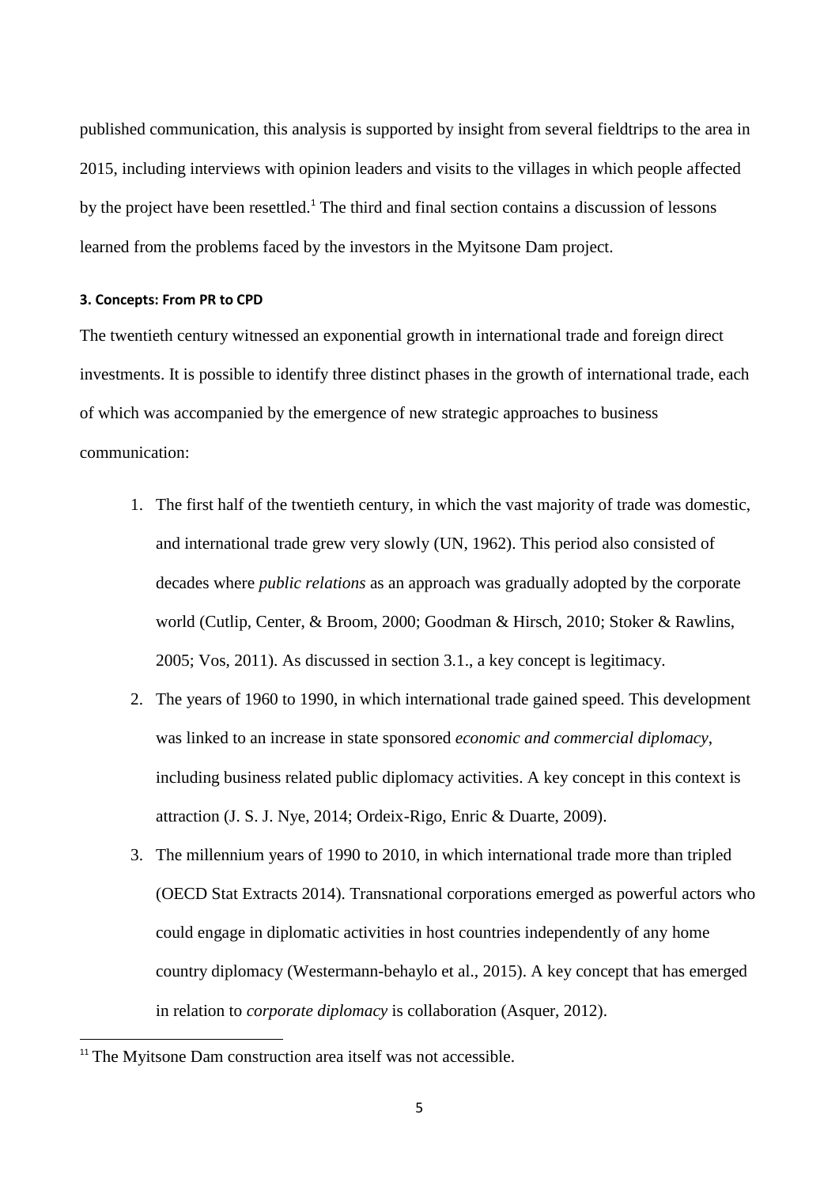published communication, this analysis is supported by insight from several fieldtrips to the area in 2015, including interviews with opinion leaders and visits to the villages in which people affected by the project have been resettled.<sup>1</sup> The third and final section contains a discussion of lessons learned from the problems faced by the investors in the Myitsone Dam project.

## **3. Concepts: From PR to CPD**

The twentieth century witnessed an exponential growth in international trade and foreign direct investments. It is possible to identify three distinct phases in the growth of international trade, each of which was accompanied by the emergence of new strategic approaches to business communication:

- 1. The first half of the twentieth century, in which the vast majority of trade was domestic, and international trade grew very slowly (UN, 1962). This period also consisted of decades where *public relations* as an approach was gradually adopted by the corporate world (Cutlip, Center, & Broom, 2000; Goodman & Hirsch, 2010; Stoker & Rawlins, 2005; Vos, 2011). As discussed in section 3.1., a key concept is legitimacy.
- 2. The years of 1960 to 1990, in which international trade gained speed. This development was linked to an increase in state sponsored *economic and commercial diplomacy*, including business related public diplomacy activities. A key concept in this context is attraction (J. S. J. Nye, 2014; Ordeix-Rigo, Enric & Duarte, 2009).
- 3. The millennium years of 1990 to 2010, in which international trade more than tripled (OECD Stat Extracts 2014). Transnational corporations emerged as powerful actors who could engage in diplomatic activities in host countries independently of any home country diplomacy (Westermann-behaylo et al., 2015). A key concept that has emerged in relation to *corporate diplomacy* is collaboration (Asquer, 2012).

**.** 

<sup>&</sup>lt;sup>11</sup> The Myitsone Dam construction area itself was not accessible.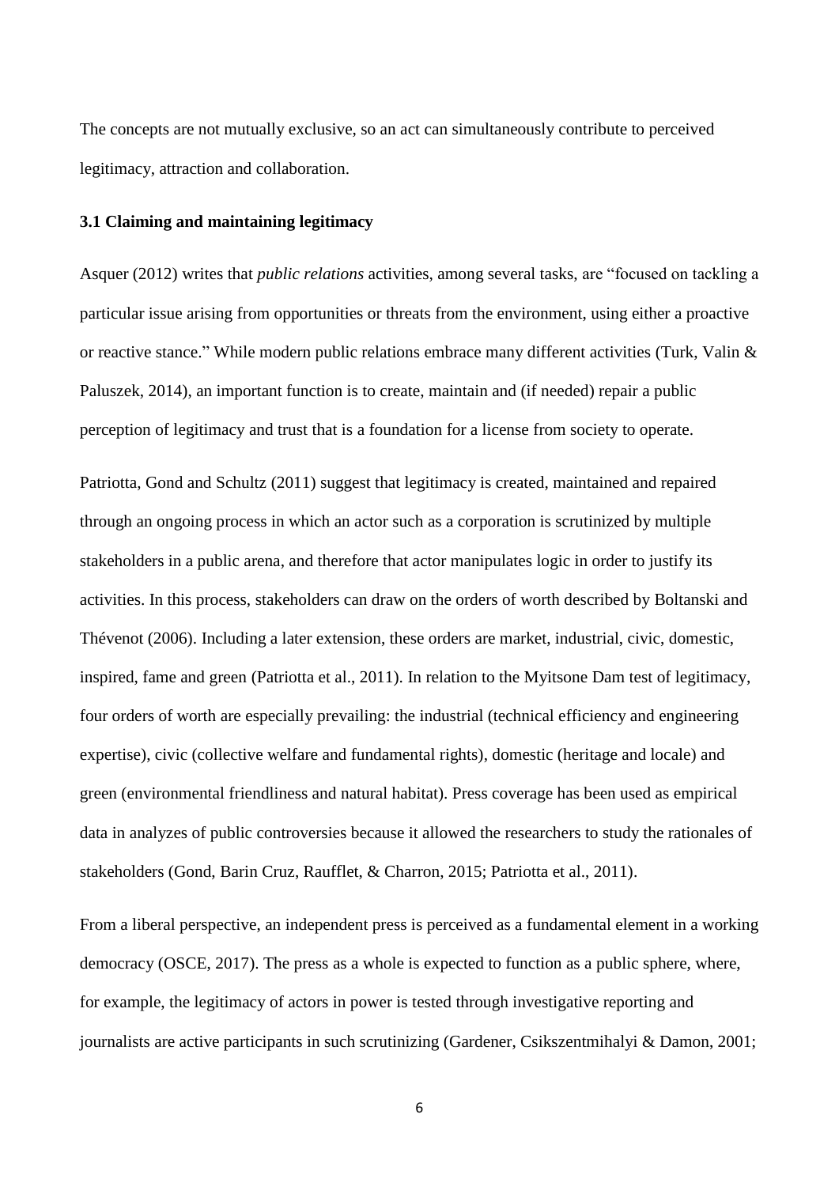The concepts are not mutually exclusive, so an act can simultaneously contribute to perceived legitimacy, attraction and collaboration.

#### **3.1 Claiming and maintaining legitimacy**

Asquer (2012) writes that *public relations* activities, among several tasks, are "focused on tackling a particular issue arising from opportunities or threats from the environment, using either a proactive or reactive stance." While modern public relations embrace many different activities (Turk, Valin & Paluszek, 2014), an important function is to create, maintain and (if needed) repair a public perception of legitimacy and trust that is a foundation for a license from society to operate.

Patriotta, Gond and Schultz (2011) suggest that legitimacy is created, maintained and repaired through an ongoing process in which an actor such as a corporation is scrutinized by multiple stakeholders in a public arena, and therefore that actor manipulates logic in order to justify its activities. In this process, stakeholders can draw on the orders of worth described by Boltanski and Thévenot (2006). Including a later extension, these orders are market, industrial, civic, domestic, inspired, fame and green (Patriotta et al., 2011). In relation to the Myitsone Dam test of legitimacy, four orders of worth are especially prevailing: the industrial (technical efficiency and engineering expertise), civic (collective welfare and fundamental rights), domestic (heritage and locale) and green (environmental friendliness and natural habitat). Press coverage has been used as empirical data in analyzes of public controversies because it allowed the researchers to study the rationales of stakeholders (Gond, Barin Cruz, Raufflet, & Charron, 2015; Patriotta et al., 2011).

From a liberal perspective, an independent press is perceived as a fundamental element in a working democracy (OSCE, 2017). The press as a whole is expected to function as a public sphere, where, for example, the legitimacy of actors in power is tested through investigative reporting and journalists are active participants in such scrutinizing (Gardener, Csikszentmihalyi & Damon, 2001;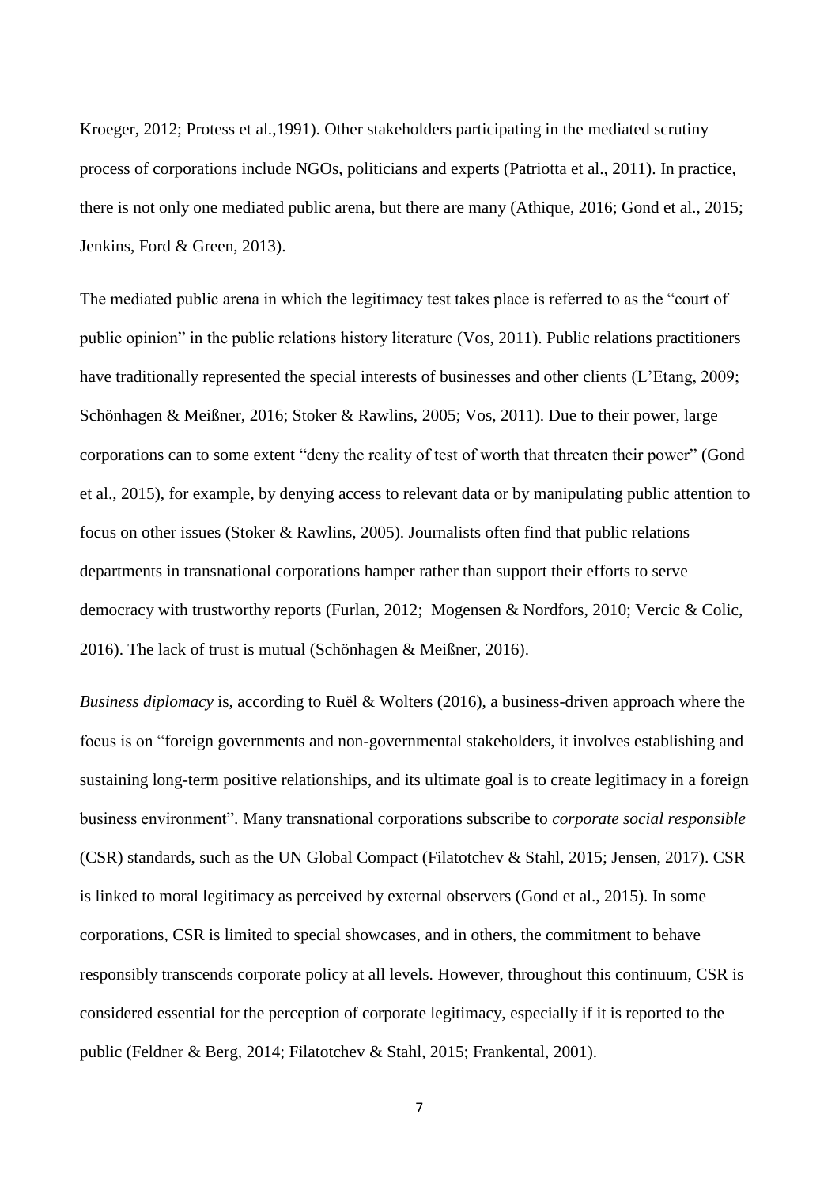Kroeger, 2012; Protess et al.,1991). Other stakeholders participating in the mediated scrutiny process of corporations include NGOs, politicians and experts (Patriotta et al., 2011). In practice, there is not only one mediated public arena, but there are many (Athique, 2016; Gond et al., 2015; Jenkins, Ford & Green, 2013).

The mediated public arena in which the legitimacy test takes place is referred to as the "court of public opinion" in the public relations history literature (Vos, 2011). Public relations practitioners have traditionally represented the special interests of businesses and other clients (L'Etang, 2009; Schönhagen & Meißner, 2016; Stoker & Rawlins, 2005; Vos, 2011). Due to their power, large corporations can to some extent "deny the reality of test of worth that threaten their power" (Gond et al., 2015), for example, by denying access to relevant data or by manipulating public attention to focus on other issues (Stoker & Rawlins, 2005). Journalists often find that public relations departments in transnational corporations hamper rather than support their efforts to serve democracy with trustworthy reports (Furlan, 2012; Mogensen & Nordfors, 2010; Vercic & Colic, 2016). The lack of trust is mutual (Schönhagen & Meißner, 2016).

*Business diplomacy* is, according to Ruël & Wolters (2016), a business-driven approach where the focus is on "foreign governments and non-governmental stakeholders, it involves establishing and sustaining long-term positive relationships, and its ultimate goal is to create legitimacy in a foreign business environment". Many transnational corporations subscribe to *corporate social responsible* (CSR) standards, such as the UN Global Compact (Filatotchev & Stahl, 2015; Jensen, 2017). CSR is linked to moral legitimacy as perceived by external observers (Gond et al., 2015). In some corporations, CSR is limited to special showcases, and in others, the commitment to behave responsibly transcends corporate policy at all levels. However, throughout this continuum, CSR is considered essential for the perception of corporate legitimacy, especially if it is reported to the public (Feldner & Berg, 2014; Filatotchev & Stahl, 2015; Frankental, 2001).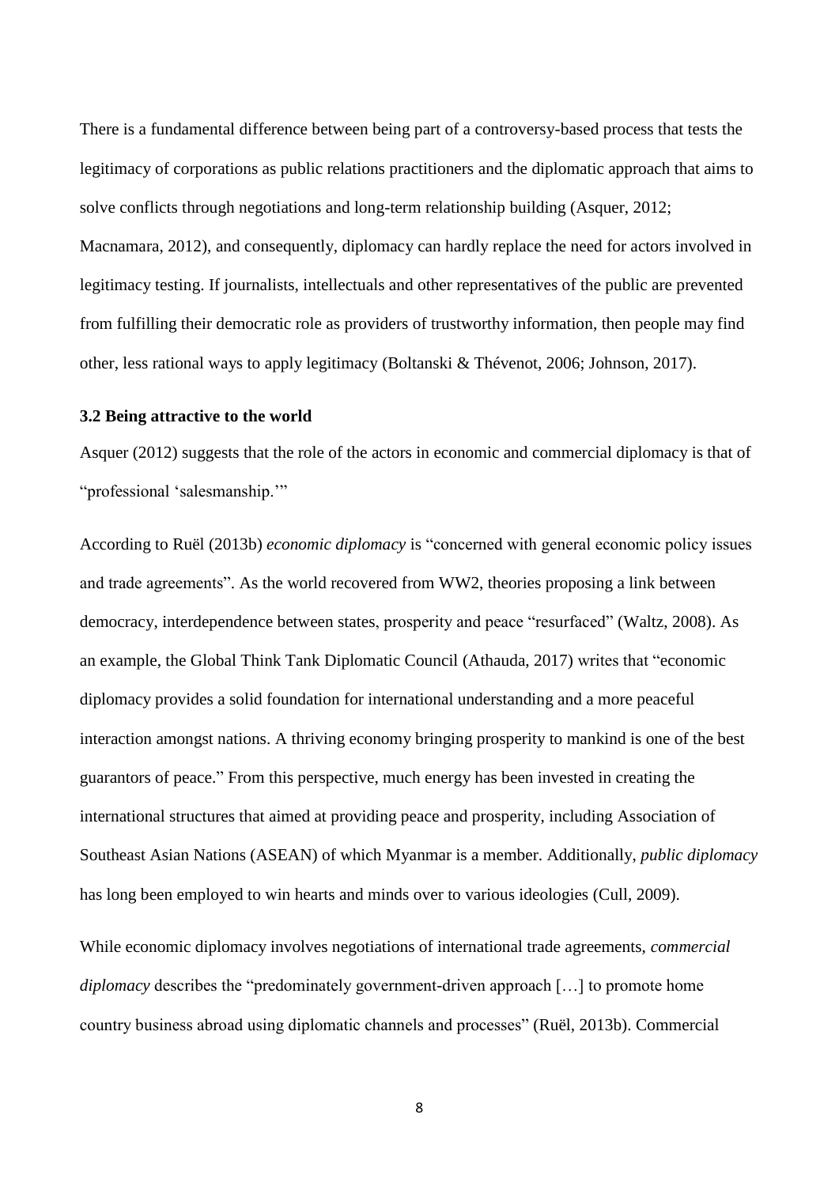There is a fundamental difference between being part of a controversy-based process that tests the legitimacy of corporations as public relations practitioners and the diplomatic approach that aims to solve conflicts through negotiations and long-term relationship building (Asquer, 2012; Macnamara, 2012), and consequently, diplomacy can hardly replace the need for actors involved in legitimacy testing. If journalists, intellectuals and other representatives of the public are prevented from fulfilling their democratic role as providers of trustworthy information, then people may find other, less rational ways to apply legitimacy (Boltanski & Thévenot, 2006; Johnson, 2017).

## **3.2 Being attractive to the world**

Asquer (2012) suggests that the role of the actors in economic and commercial diplomacy is that of "professional 'salesmanship.'"

According to Ruël (2013b) *economic diplomacy* is "concerned with general economic policy issues and trade agreements". As the world recovered from WW2, theories proposing a link between democracy, interdependence between states, prosperity and peace "resurfaced" (Waltz, 2008). As an example, the Global Think Tank Diplomatic Council (Athauda, 2017) writes that "economic diplomacy provides a solid foundation for international understanding and a more peaceful interaction amongst nations. A thriving economy bringing prosperity to mankind is one of the best guarantors of peace." From this perspective, much energy has been invested in creating the international structures that aimed at providing peace and prosperity, including Association of Southeast Asian Nations (ASEAN) of which Myanmar is a member. Additionally, *public diplomacy* has long been employed to win hearts and minds over to various ideologies (Cull, 2009).

While economic diplomacy involves negotiations of international trade agreements, *commercial diplomacy* describes the "predominately government-driven approach [...] to promote home country business abroad using diplomatic channels and processes" (Ruël, 2013b). Commercial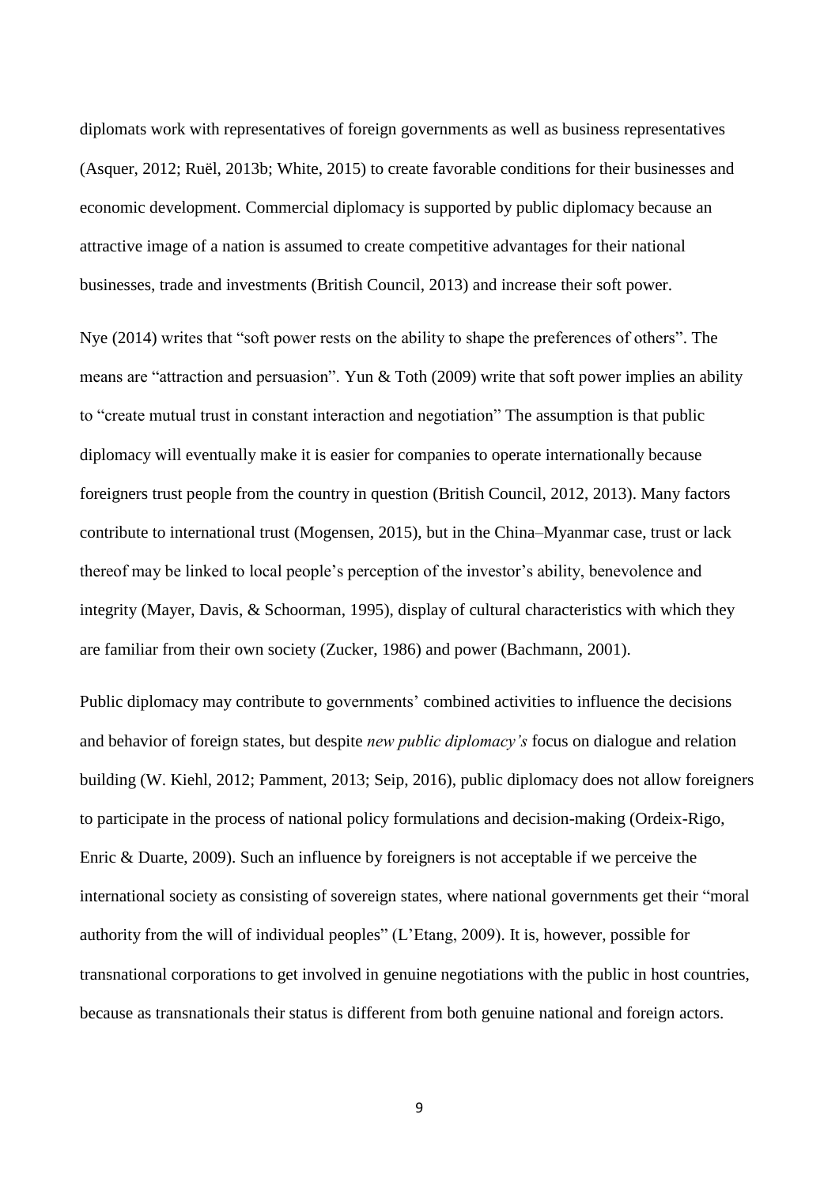diplomats work with representatives of foreign governments as well as business representatives (Asquer, 2012; Ruël, 2013b; White, 2015) to create favorable conditions for their businesses and economic development. Commercial diplomacy is supported by public diplomacy because an attractive image of a nation is assumed to create competitive advantages for their national businesses, trade and investments (British Council, 2013) and increase their soft power.

Nye (2014) writes that "soft power rests on the ability to shape the preferences of others". The means are "attraction and persuasion". Yun & Toth (2009) write that soft power implies an ability to "create mutual trust in constant interaction and negotiation" The assumption is that public diplomacy will eventually make it is easier for companies to operate internationally because foreigners trust people from the country in question (British Council, 2012, 2013). Many factors contribute to international trust (Mogensen, 2015), but in the China–Myanmar case, trust or lack thereof may be linked to local people's perception of the investor's ability, benevolence and integrity (Mayer, Davis, & Schoorman, 1995), display of cultural characteristics with which they are familiar from their own society (Zucker, 1986) and power (Bachmann, 2001).

Public diplomacy may contribute to governments' combined activities to influence the decisions and behavior of foreign states, but despite *new public diplomacy's* focus on dialogue and relation building (W. Kiehl, 2012; Pamment, 2013; Seip, 2016), public diplomacy does not allow foreigners to participate in the process of national policy formulations and decision-making (Ordeix-Rigo, Enric & Duarte, 2009). Such an influence by foreigners is not acceptable if we perceive the international society as consisting of sovereign states, where national governments get their "moral authority from the will of individual peoples" (L'Etang, 2009). It is, however, possible for transnational corporations to get involved in genuine negotiations with the public in host countries, because as transnationals their status is different from both genuine national and foreign actors.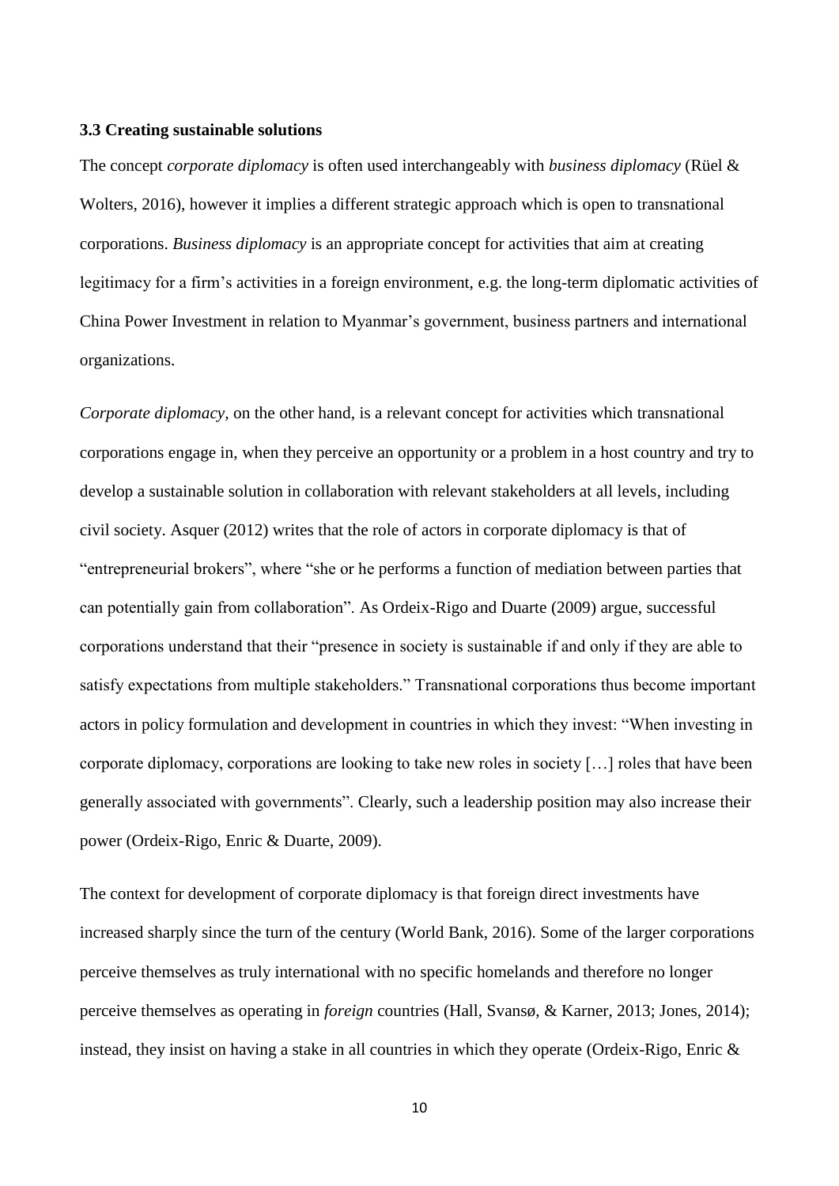## **3.3 Creating sustainable solutions**

The concept *corporate diplomacy* is often used interchangeably with *business diplomacy* (Rüel & Wolters, 2016), however it implies a different strategic approach which is open to transnational corporations. *Business diplomacy* is an appropriate concept for activities that aim at creating legitimacy for a firm's activities in a foreign environment, e.g. the long-term diplomatic activities of China Power Investment in relation to Myanmar's government, business partners and international organizations.

*Corporate diplomacy,* on the other hand*,* is a relevant concept for activities which transnational corporations engage in, when they perceive an opportunity or a problem in a host country and try to develop a sustainable solution in collaboration with relevant stakeholders at all levels, including civil society. Asquer (2012) writes that the role of actors in corporate diplomacy is that of "entrepreneurial brokers", where "she or he performs a function of mediation between parties that can potentially gain from collaboration". As Ordeix-Rigo and Duarte (2009) argue, successful corporations understand that their "presence in society is sustainable if and only if they are able to satisfy expectations from multiple stakeholders." Transnational corporations thus become important actors in policy formulation and development in countries in which they invest: "When investing in corporate diplomacy, corporations are looking to take new roles in society […] roles that have been generally associated with governments". Clearly, such a leadership position may also increase their power (Ordeix-Rigo, Enric & Duarte, 2009).

The context for development of corporate diplomacy is that foreign direct investments have increased sharply since the turn of the century (World Bank, 2016). Some of the larger corporations perceive themselves as truly international with no specific homelands and therefore no longer perceive themselves as operating in *foreign* countries (Hall, Svansø, & Karner, 2013; Jones, 2014); instead, they insist on having a stake in all countries in which they operate (Ordeix-Rigo, Enric &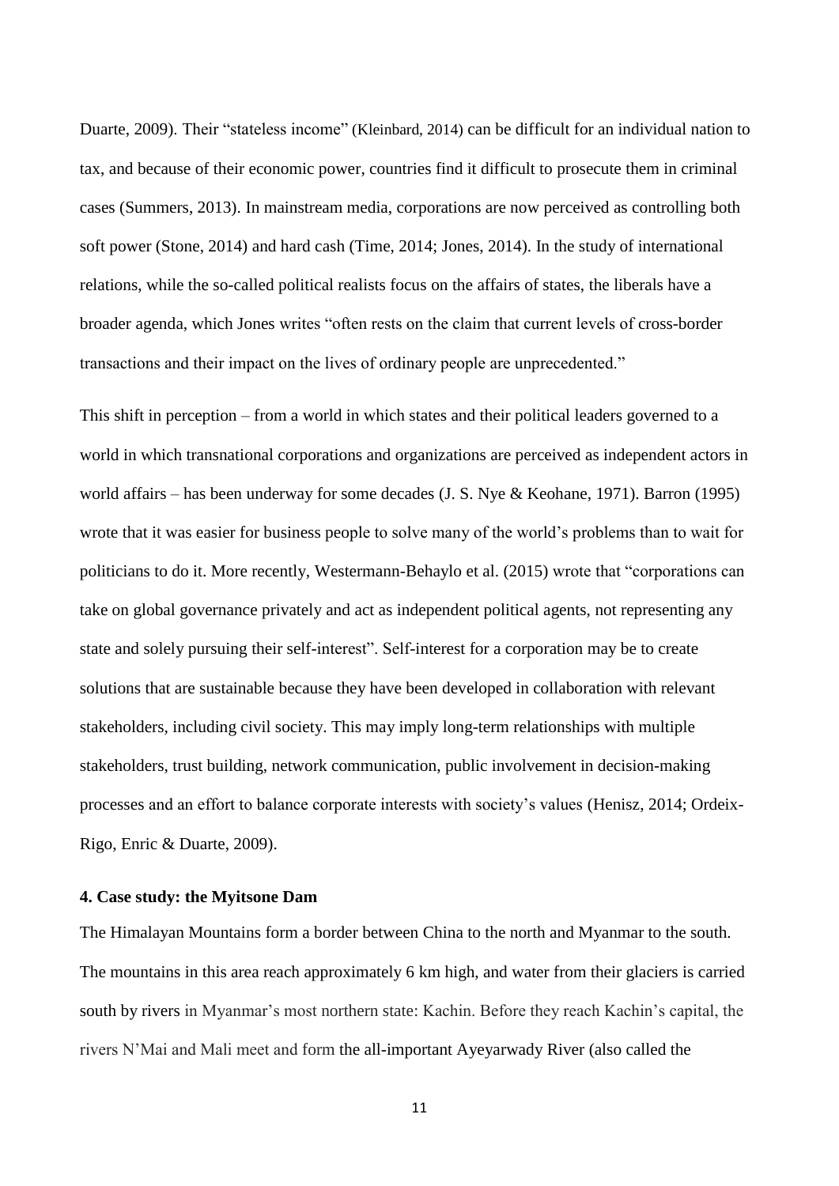Duarte, 2009). Their "stateless income" (Kleinbard, 2014) can be difficult for an individual nation to tax, and because of their economic power, countries find it difficult to prosecute them in criminal cases (Summers, 2013). In mainstream media, corporations are now perceived as controlling both soft power (Stone, 2014) and hard cash (Time, 2014; Jones, 2014). In the study of international relations, while the so-called political realists focus on the affairs of states, the liberals have a broader agenda, which Jones writes "often rests on the claim that current levels of cross-border transactions and their impact on the lives of ordinary people are unprecedented."

This shift in perception – from a world in which states and their political leaders governed to a world in which transnational corporations and organizations are perceived as independent actors in world affairs – has been underway for some decades (J. S. Nye & Keohane, 1971). Barron (1995) wrote that it was easier for business people to solve many of the world's problems than to wait for politicians to do it. More recently, Westermann-Behaylo et al. (2015) wrote that "corporations can take on global governance privately and act as independent political agents, not representing any state and solely pursuing their self-interest". Self-interest for a corporation may be to create solutions that are sustainable because they have been developed in collaboration with relevant stakeholders, including civil society. This may imply long-term relationships with multiple stakeholders, trust building, network communication, public involvement in decision-making processes and an effort to balance corporate interests with society's values (Henisz, 2014; Ordeix-Rigo, Enric & Duarte, 2009).

## **4. Case study: the Myitsone Dam**

The Himalayan Mountains form a border between China to the north and Myanmar to the south. The mountains in this area reach approximately 6 km high, and water from their glaciers is carried south by rivers in Myanmar's most northern state: Kachin. Before they reach Kachin's capital, the rivers N'Mai and Mali meet and form the all-important Ayeyarwady River (also called the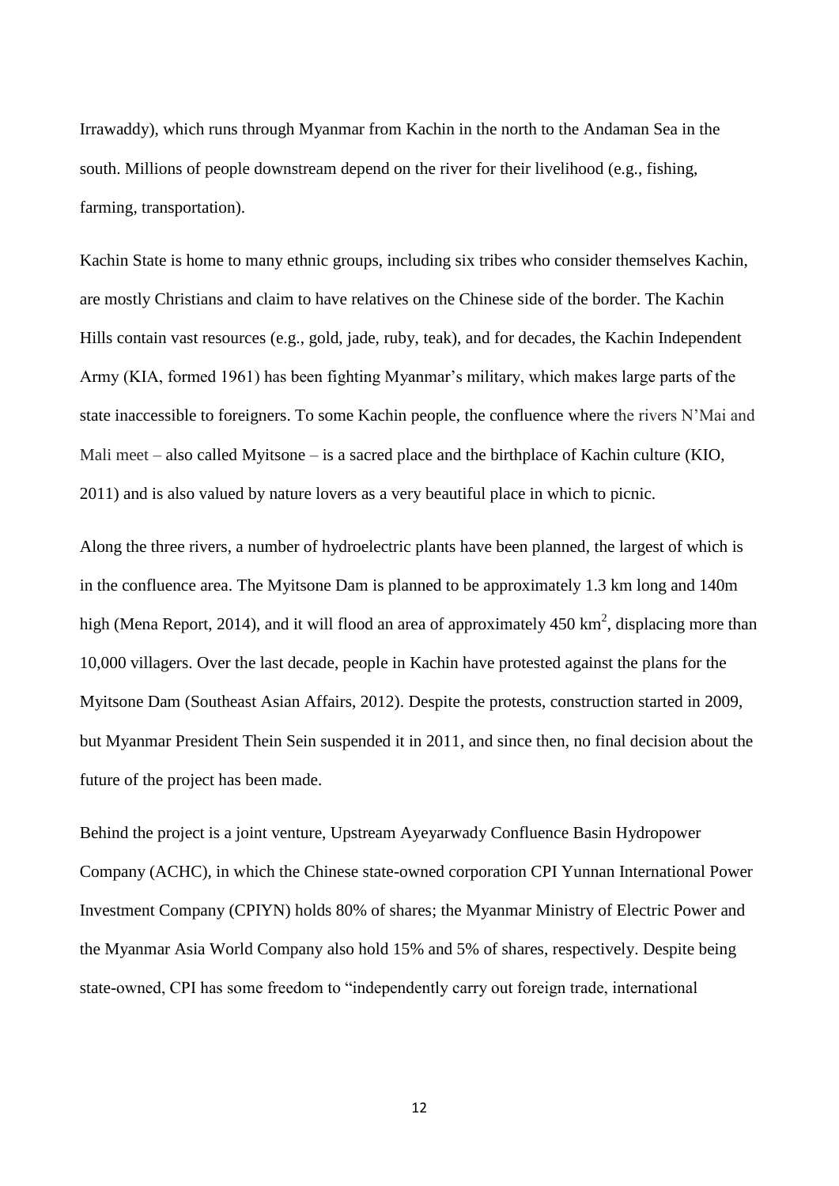Irrawaddy), which runs through Myanmar from Kachin in the north to the Andaman Sea in the south. Millions of people downstream depend on the river for their livelihood (e.g., fishing, farming, transportation).

Kachin State is home to many ethnic groups, including six tribes who consider themselves Kachin, are mostly Christians and claim to have relatives on the Chinese side of the border. The Kachin Hills contain vast resources (e.g., gold, jade, ruby, teak), and for decades, the Kachin Independent Army (KIA, formed 1961) has been fighting Myanmar's military, which makes large parts of the state inaccessible to foreigners. To some Kachin people, the confluence where the rivers N'Mai and Mali meet – also called Myitsone – is a sacred place and the birthplace of Kachin culture (KIO, 2011) and is also valued by nature lovers as a very beautiful place in which to picnic.

Along the three rivers, a number of hydroelectric plants have been planned, the largest of which is in the confluence area. The Myitsone Dam is planned to be approximately 1.3 km long and 140m high (Mena Report, 2014), and it will flood an area of approximately 450  $\text{km}^2$ , displacing more than 10,000 villagers. Over the last decade, people in Kachin have protested against the plans for the Myitsone Dam (Southeast Asian Affairs, 2012). Despite the protests, construction started in 2009, but Myanmar President Thein Sein suspended it in 2011, and since then, no final decision about the future of the project has been made.

Behind the project is a joint venture, Upstream Ayeyarwady Confluence Basin Hydropower Company (ACHC), in which the Chinese state-owned corporation CPI Yunnan International Power Investment Company (CPIYN) holds 80% of shares; the Myanmar Ministry of Electric Power and the Myanmar Asia World Company also hold 15% and 5% of shares, respectively. Despite being state-owned, CPI has some freedom to "independently carry out foreign trade, international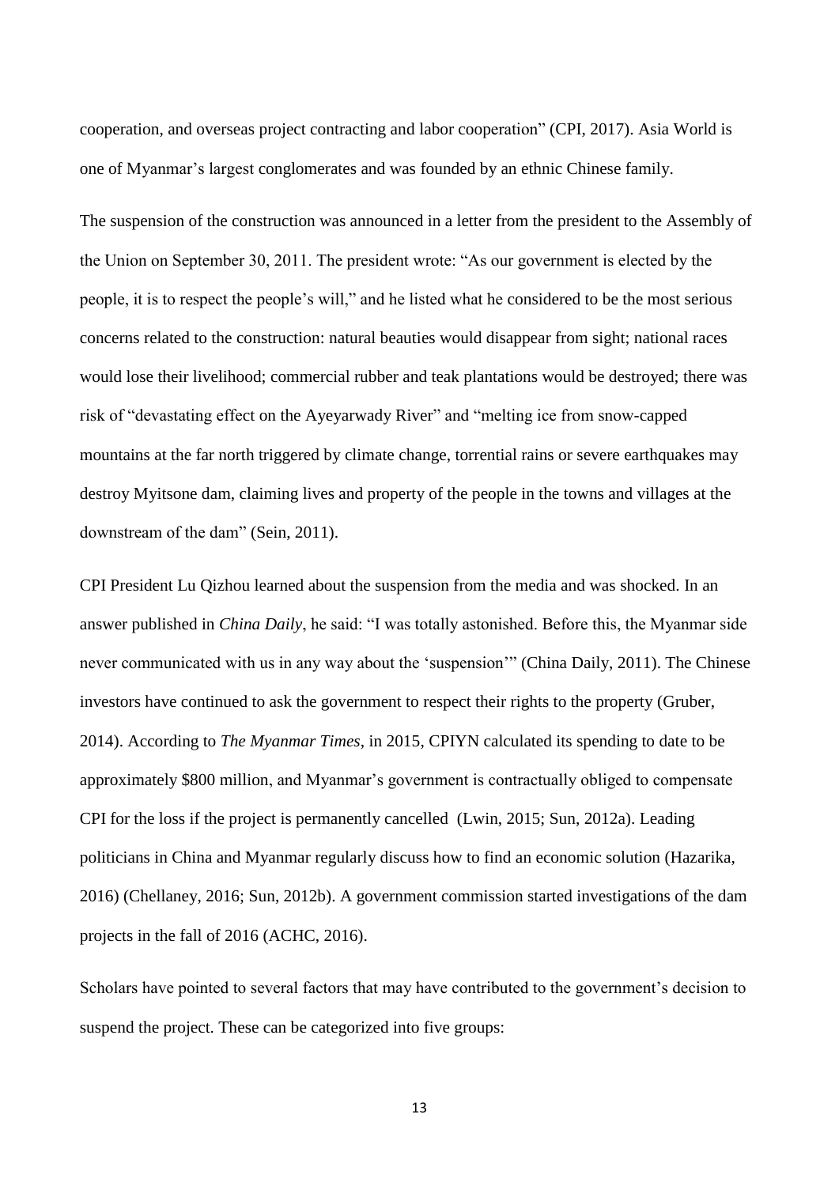cooperation, and overseas project contracting and labor cooperation" (CPI, 2017). Asia World is one of Myanmar's largest conglomerates and was founded by an ethnic Chinese family.

The suspension of the construction was announced in a letter from the president to the Assembly of the Union on September 30, 2011. The president wrote: "As our government is elected by the people, it is to respect the people's will," and he listed what he considered to be the most serious concerns related to the construction: natural beauties would disappear from sight; national races would lose their livelihood; commercial rubber and teak plantations would be destroyed; there was risk of "devastating effect on the Ayeyarwady River" and "melting ice from snow-capped mountains at the far north triggered by climate change, torrential rains or severe earthquakes may destroy Myitsone dam, claiming lives and property of the people in the towns and villages at the downstream of the dam" (Sein, 2011).

CPI President Lu Qizhou learned about the suspension from the media and was shocked. In an answer published in *China Daily*, he said: "I was totally astonished. Before this, the Myanmar side never communicated with us in any way about the 'suspension'" (China Daily, 2011). The Chinese investors have continued to ask the government to respect their rights to the property (Gruber, 2014). According to *The Myanmar Times*, in 2015, CPIYN calculated its spending to date to be approximately \$800 million, and Myanmar's government is contractually obliged to compensate CPI for the loss if the project is permanently cancelled (Lwin, 2015; Sun, 2012a). Leading politicians in China and Myanmar regularly discuss how to find an economic solution (Hazarika, 2016) (Chellaney, 2016; Sun, 2012b). A government commission started investigations of the dam projects in the fall of 2016 (ACHC, 2016).

Scholars have pointed to several factors that may have contributed to the government's decision to suspend the project. These can be categorized into five groups: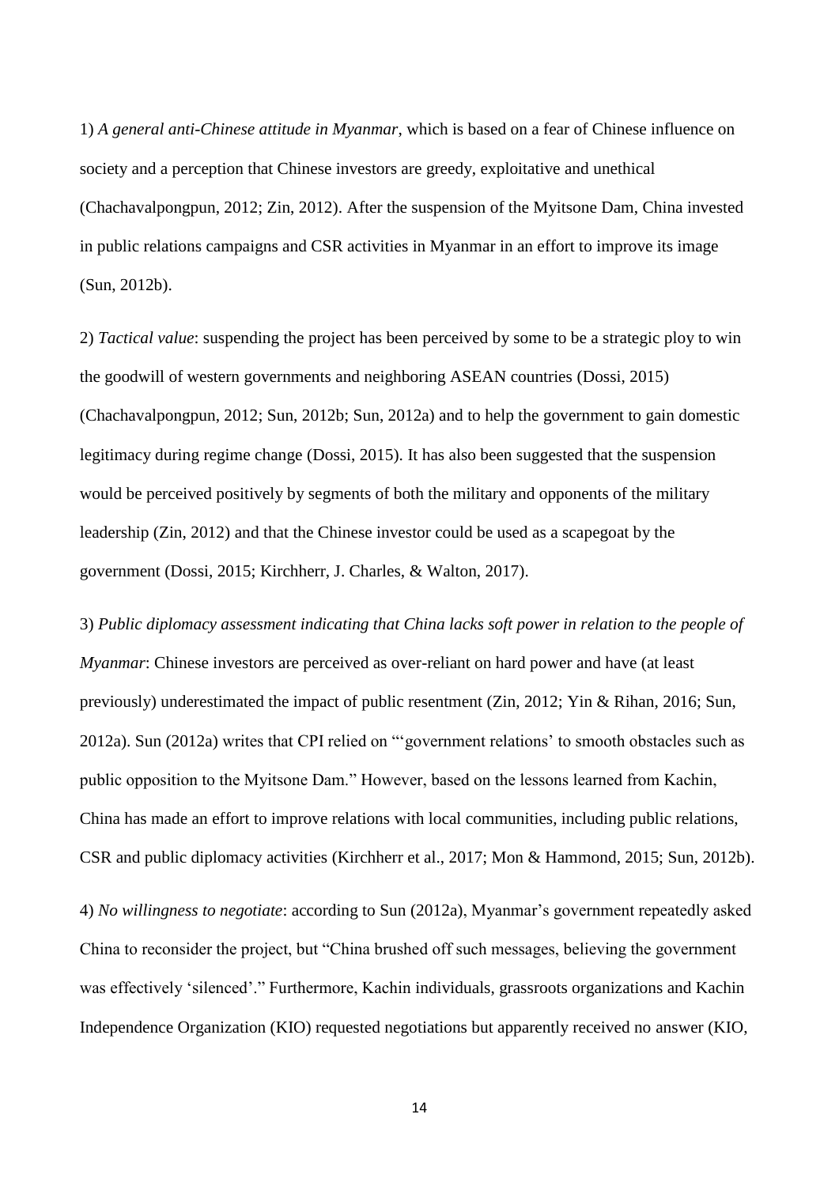1) *A general anti-Chinese attitude in Myanmar*, which is based on a fear of Chinese influence on society and a perception that Chinese investors are greedy, exploitative and unethical (Chachavalpongpun, 2012; Zin, 2012). After the suspension of the Myitsone Dam, China invested in public relations campaigns and CSR activities in Myanmar in an effort to improve its image (Sun, 2012b).

2) *Tactical value*: suspending the project has been perceived by some to be a strategic ploy to win the goodwill of western governments and neighboring ASEAN countries (Dossi, 2015) (Chachavalpongpun, 2012; Sun, 2012b; Sun, 2012a) and to help the government to gain domestic legitimacy during regime change (Dossi, 2015). It has also been suggested that the suspension would be perceived positively by segments of both the military and opponents of the military leadership (Zin, 2012) and that the Chinese investor could be used as a scapegoat by the government (Dossi, 2015; Kirchherr, J. Charles, & Walton, 2017).

3) *Public diplomacy assessment indicating that China lacks soft power in relation to the people of Myanmar*: Chinese investors are perceived as over-reliant on hard power and have (at least previously) underestimated the impact of public resentment (Zin, 2012; Yin & Rihan, 2016; Sun, 2012a). Sun (2012a) writes that CPI relied on "'government relations' to smooth obstacles such as public opposition to the Myitsone Dam." However, based on the lessons learned from Kachin, China has made an effort to improve relations with local communities, including public relations, CSR and public diplomacy activities (Kirchherr et al., 2017; Mon & Hammond, 2015; Sun, 2012b). 4) *No willingness to negotiate*: according to Sun (2012a), Myanmar's government repeatedly asked China to reconsider the project, but "China brushed off such messages, believing the government was effectively 'silenced'." Furthermore, Kachin individuals, grassroots organizations and Kachin Independence Organization (KIO) requested negotiations but apparently received no answer (KIO,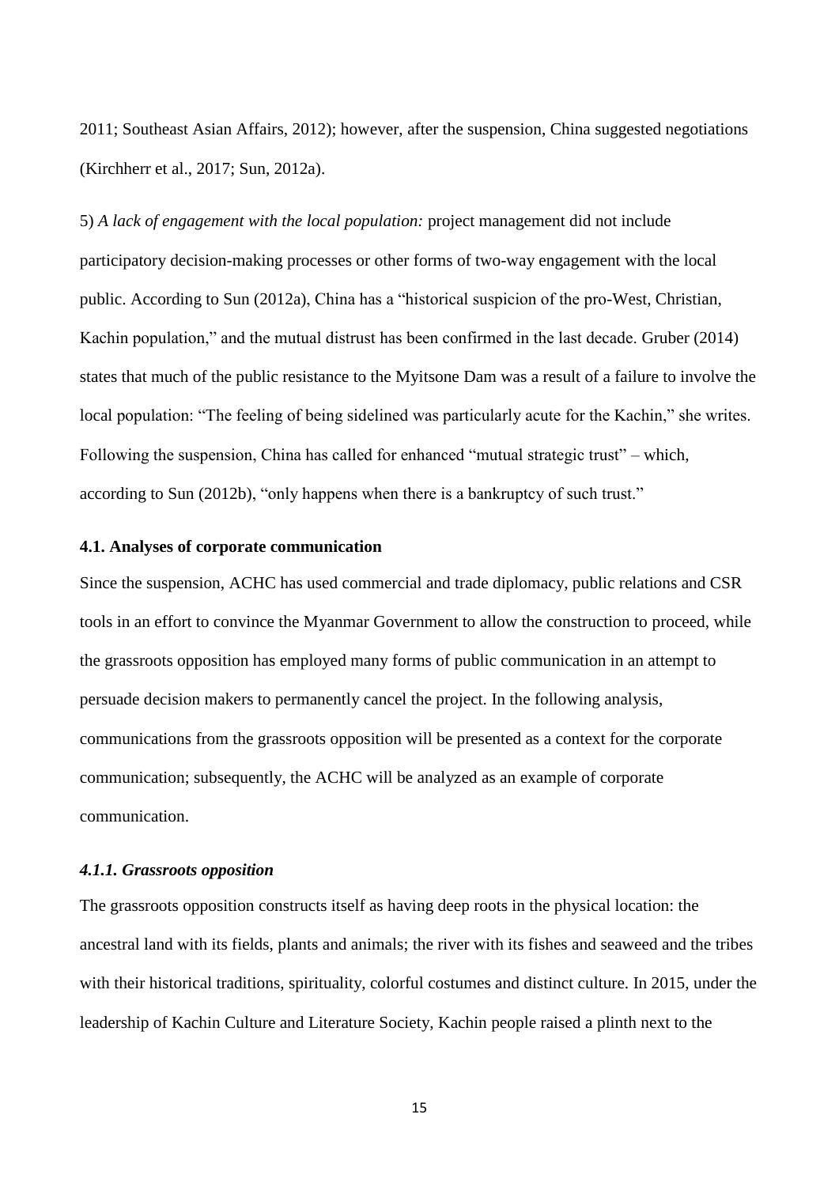2011; Southeast Asian Affairs, 2012); however, after the suspension, China suggested negotiations (Kirchherr et al., 2017; Sun, 2012a).

5) *A lack of engagement with the local population:* project management did not include participatory decision-making processes or other forms of two-way engagement with the local public. According to Sun (2012a), China has a "historical suspicion of the pro-West, Christian, Kachin population," and the mutual distrust has been confirmed in the last decade. Gruber (2014) states that much of the public resistance to the Myitsone Dam was a result of a failure to involve the local population: "The feeling of being sidelined was particularly acute for the Kachin," she writes. Following the suspension, China has called for enhanced "mutual strategic trust" – which, according to Sun (2012b), "only happens when there is a bankruptcy of such trust."

## **4.1. Analyses of corporate communication**

Since the suspension, ACHC has used commercial and trade diplomacy, public relations and CSR tools in an effort to convince the Myanmar Government to allow the construction to proceed, while the grassroots opposition has employed many forms of public communication in an attempt to persuade decision makers to permanently cancel the project. In the following analysis, communications from the grassroots opposition will be presented as a context for the corporate communication; subsequently, the ACHC will be analyzed as an example of corporate communication.

## *4.1.1. Grassroots opposition*

The grassroots opposition constructs itself as having deep roots in the physical location: the ancestral land with its fields, plants and animals; the river with its fishes and seaweed and the tribes with their historical traditions, spirituality, colorful costumes and distinct culture. In 2015, under the leadership of Kachin Culture and Literature Society, Kachin people raised a plinth next to the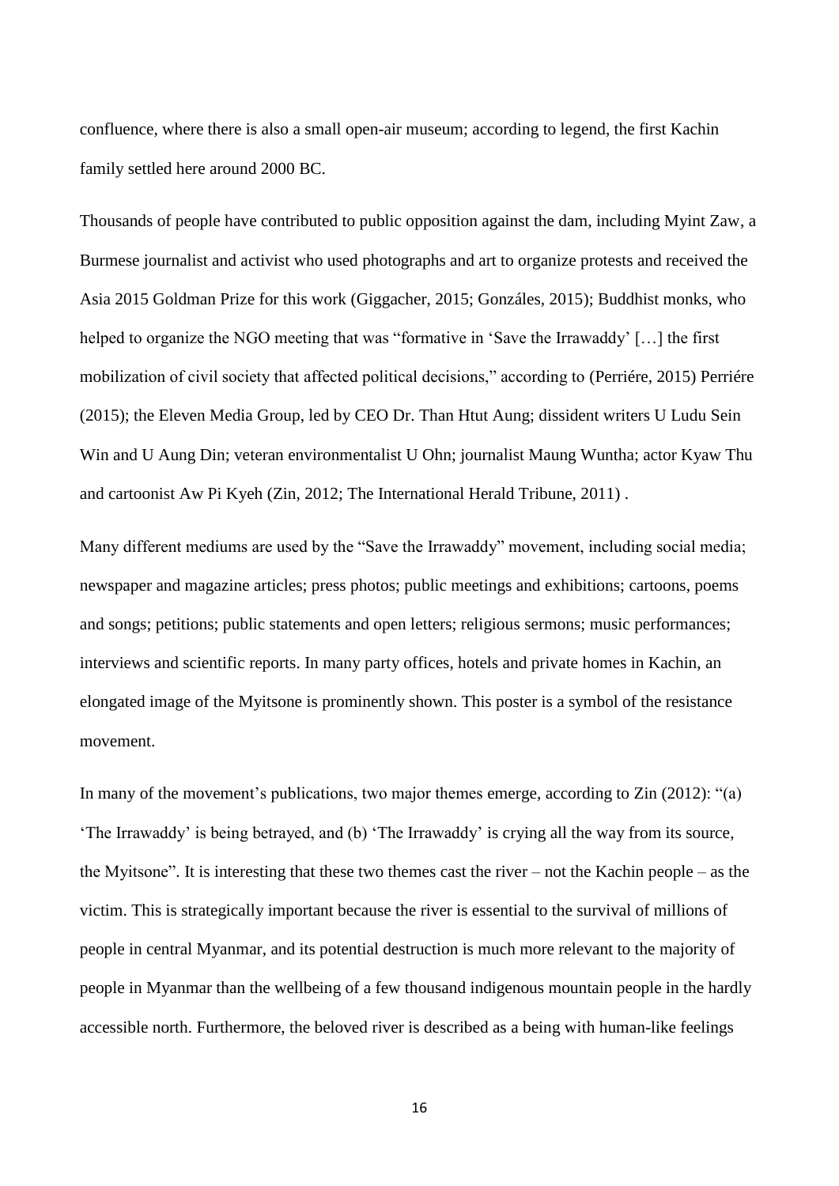confluence, where there is also a small open-air museum; according to legend, the first Kachin family settled here around 2000 BC.

Thousands of people have contributed to public opposition against the dam, including Myint Zaw, a Burmese journalist and activist who used photographs and art to organize protests and received the Asia 2015 Goldman Prize for this work (Giggacher, 2015; Gonzáles, 2015); Buddhist monks, who helped to organize the NGO meeting that was "formative in 'Save the Irrawaddy' […] the first mobilization of civil society that affected political decisions," according to (Perriére, 2015) Perriére (2015); the Eleven Media Group, led by CEO Dr. Than Htut Aung; dissident writers U Ludu Sein Win and U Aung Din; veteran environmentalist U Ohn; journalist Maung Wuntha; actor Kyaw Thu and cartoonist Aw Pi Kyeh (Zin, 2012; The International Herald Tribune, 2011) .

Many different mediums are used by the "Save the Irrawaddy" movement, including social media; newspaper and magazine articles; press photos; public meetings and exhibitions; cartoons, poems and songs; petitions; public statements and open letters; religious sermons; music performances; interviews and scientific reports. In many party offices, hotels and private homes in Kachin, an elongated image of the Myitsone is prominently shown. This poster is a symbol of the resistance movement.

In many of the movement's publications, two major themes emerge, according to Zin (2012): "(a) 'The Irrawaddy' is being betrayed, and (b) 'The Irrawaddy' is crying all the way from its source, the Myitsone". It is interesting that these two themes cast the river – not the Kachin people – as the victim. This is strategically important because the river is essential to the survival of millions of people in central Myanmar, and its potential destruction is much more relevant to the majority of people in Myanmar than the wellbeing of a few thousand indigenous mountain people in the hardly accessible north. Furthermore, the beloved river is described as a being with human-like feelings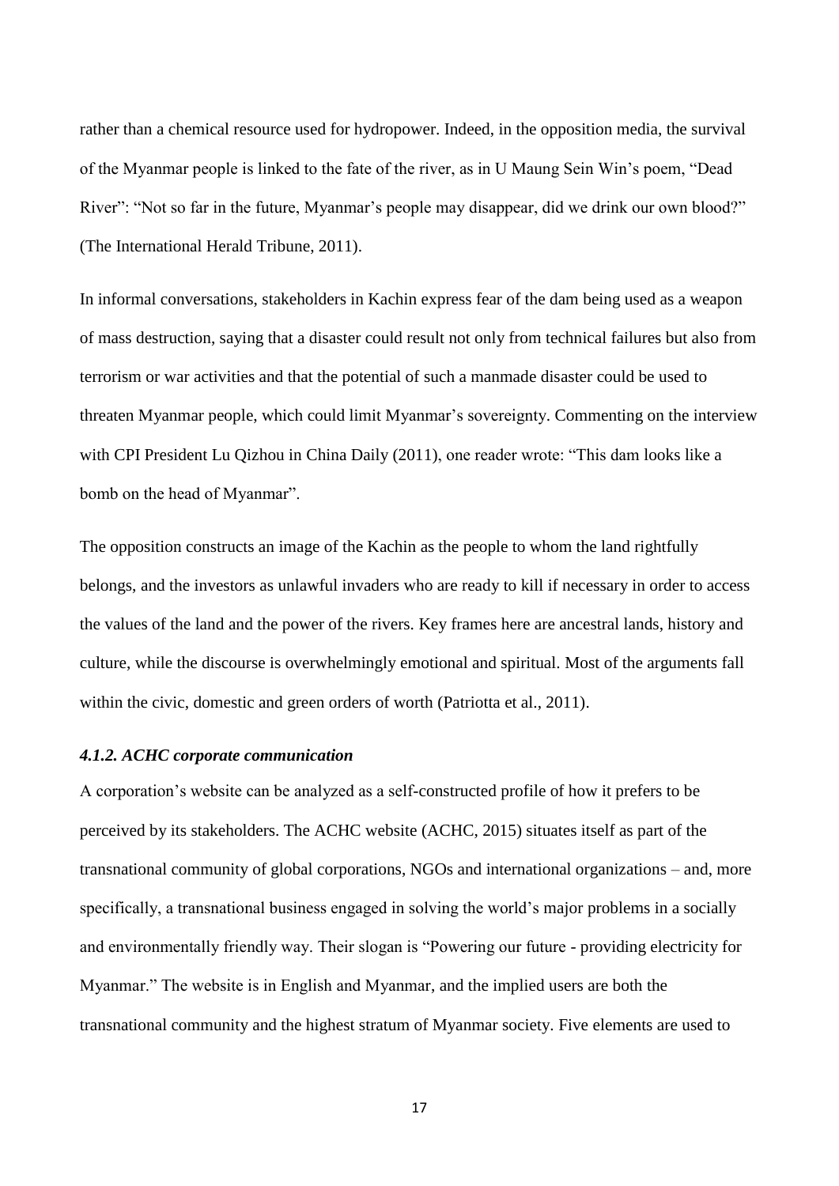rather than a chemical resource used for hydropower. Indeed, in the opposition media, the survival of the Myanmar people is linked to the fate of the river, as in U Maung Sein Win's poem, "Dead River": "Not so far in the future, Myanmar's people may disappear, did we drink our own blood?" (The International Herald Tribune, 2011).

In informal conversations, stakeholders in Kachin express fear of the dam being used as a weapon of mass destruction, saying that a disaster could result not only from technical failures but also from terrorism or war activities and that the potential of such a manmade disaster could be used to threaten Myanmar people, which could limit Myanmar's sovereignty. Commenting on the interview with CPI President Lu Qizhou in China Daily (2011), one reader wrote: "This dam looks like a bomb on the head of Myanmar".

The opposition constructs an image of the Kachin as the people to whom the land rightfully belongs, and the investors as unlawful invaders who are ready to kill if necessary in order to access the values of the land and the power of the rivers. Key frames here are ancestral lands, history and culture, while the discourse is overwhelmingly emotional and spiritual. Most of the arguments fall within the civic, domestic and green orders of worth (Patriotta et al., 2011).

### *4.1.2. ACHC corporate communication*

A corporation's website can be analyzed as a self-constructed profile of how it prefers to be perceived by its stakeholders. The ACHC website (ACHC, 2015) situates itself as part of the transnational community of global corporations, NGOs and international organizations – and, more specifically, a transnational business engaged in solving the world's major problems in a socially and environmentally friendly way. Their slogan is "Powering our future - providing electricity for Myanmar." The website is in English and Myanmar, and the implied users are both the transnational community and the highest stratum of Myanmar society. Five elements are used to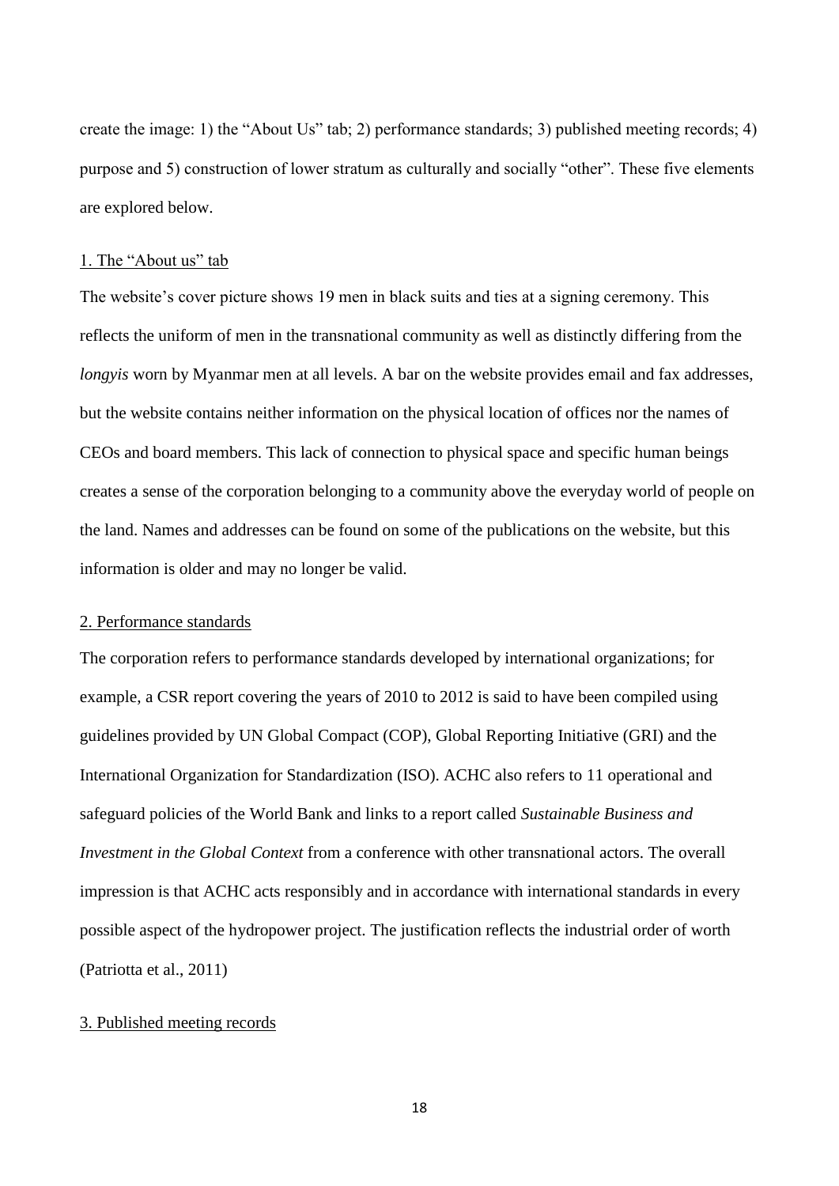create the image: 1) the "About Us" tab; 2) performance standards; 3) published meeting records; 4) purpose and 5) construction of lower stratum as culturally and socially "other". These five elements are explored below.

## 1. The "About us" tab

The website's cover picture shows 19 men in black suits and ties at a signing ceremony. This reflects the uniform of men in the transnational community as well as distinctly differing from the *longyis* worn by Myanmar men at all levels. A bar on the website provides email and fax addresses, but the website contains neither information on the physical location of offices nor the names of CEOs and board members. This lack of connection to physical space and specific human beings creates a sense of the corporation belonging to a community above the everyday world of people on the land. Names and addresses can be found on some of the publications on the website, but this information is older and may no longer be valid.

## 2. Performance standards

The corporation refers to performance standards developed by international organizations; for example, a CSR report covering the years of 2010 to 2012 is said to have been compiled using guidelines provided by UN Global Compact (COP), Global Reporting Initiative (GRI) and the International Organization for Standardization (ISO). ACHC also refers to 11 operational and safeguard policies of the World Bank and links to a report called *Sustainable Business and Investment in the Global Context* from a conference with other transnational actors. The overall impression is that ACHC acts responsibly and in accordance with international standards in every possible aspect of the hydropower project. The justification reflects the industrial order of worth (Patriotta et al., 2011)

## 3. Published meeting records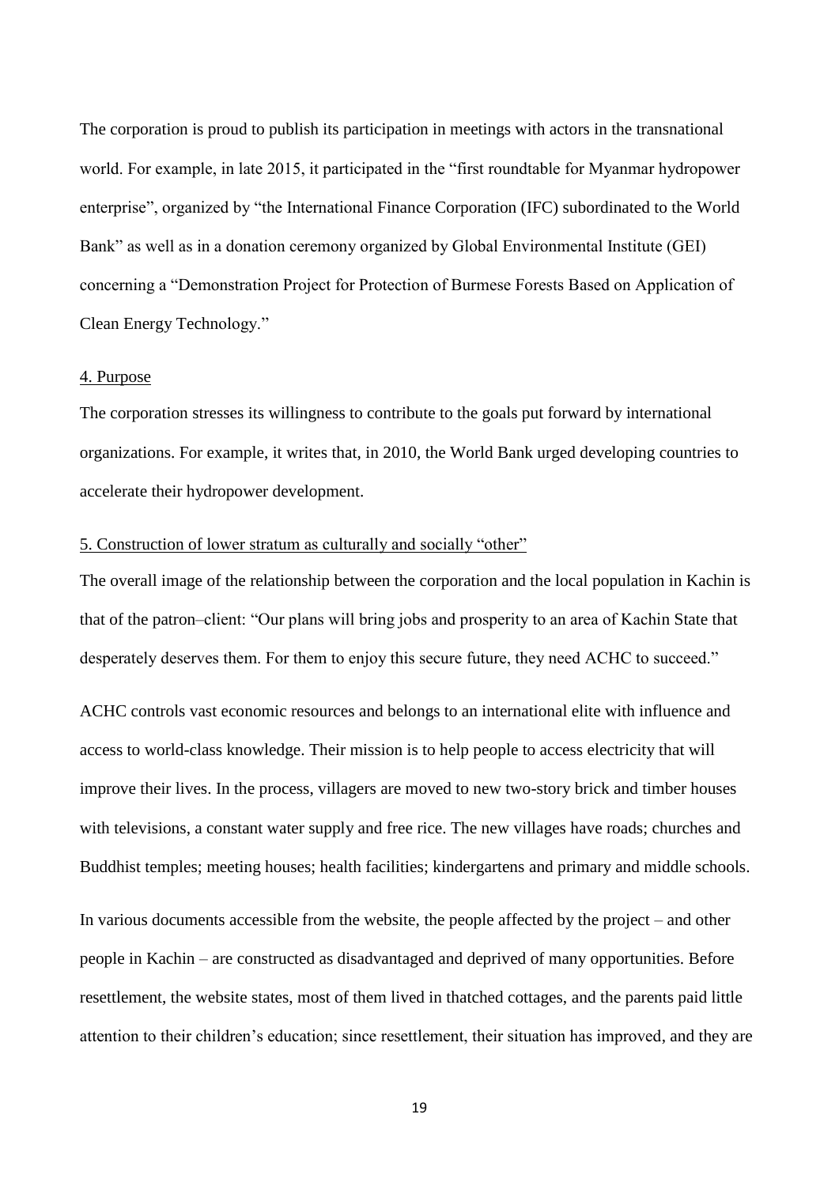The corporation is proud to publish its participation in meetings with actors in the transnational world. For example, in late 2015, it participated in the "first roundtable for Myanmar hydropower enterprise", organized by "the International Finance Corporation (IFC) subordinated to the World Bank" as well as in a donation ceremony organized by Global Environmental Institute (GEI) concerning a "Demonstration Project for Protection of Burmese Forests Based on Application of Clean Energy Technology."

## 4. Purpose

The corporation stresses its willingness to contribute to the goals put forward by international organizations. For example, it writes that, in 2010, the World Bank urged developing countries to accelerate their hydropower development.

## 5. Construction of lower stratum as culturally and socially "other"

The overall image of the relationship between the corporation and the local population in Kachin is that of the patron–client: "Our plans will bring jobs and prosperity to an area of Kachin State that desperately deserves them. For them to enjoy this secure future, they need ACHC to succeed."

ACHC controls vast economic resources and belongs to an international elite with influence and access to world-class knowledge. Their mission is to help people to access electricity that will improve their lives. In the process, villagers are moved to new two-story brick and timber houses with televisions, a constant water supply and free rice. The new villages have roads; churches and Buddhist temples; meeting houses; health facilities; kindergartens and primary and middle schools.

In various documents accessible from the website, the people affected by the project – and other people in Kachin – are constructed as disadvantaged and deprived of many opportunities. Before resettlement, the website states, most of them lived in thatched cottages, and the parents paid little attention to their children's education; since resettlement, their situation has improved, and they are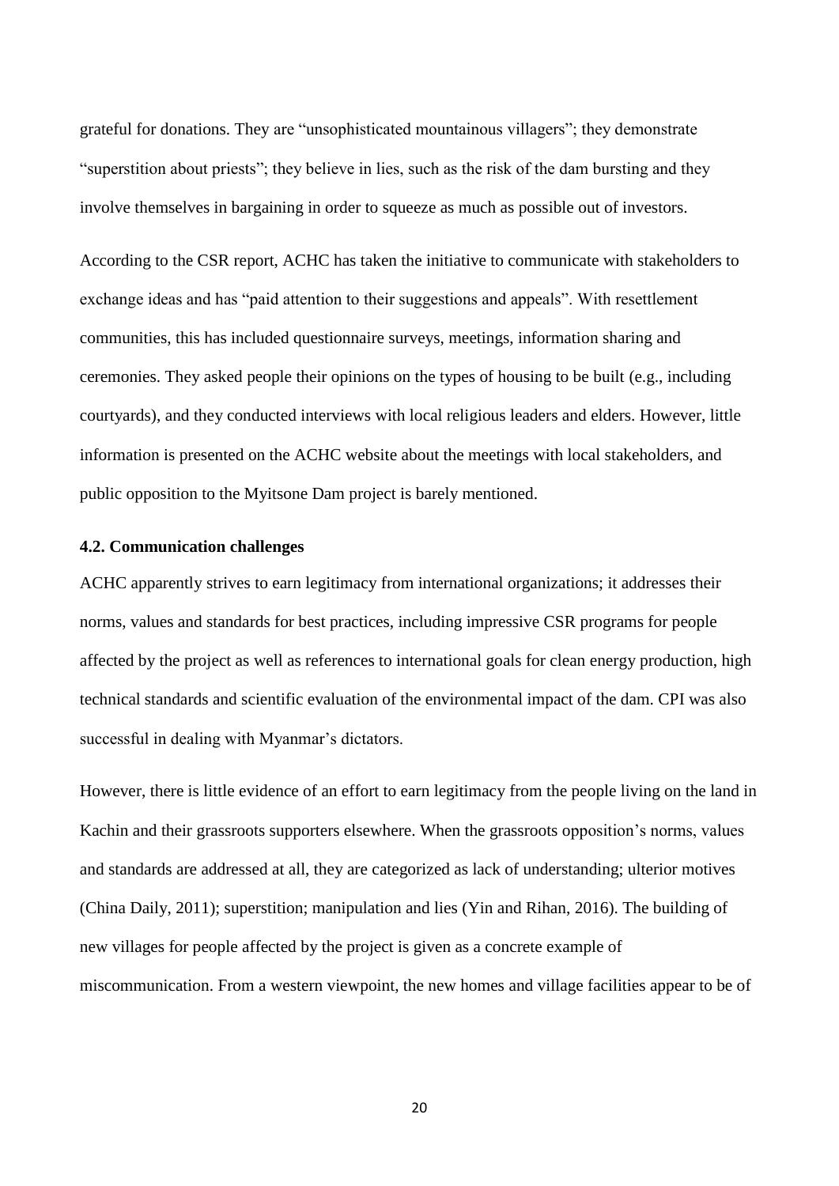grateful for donations. They are "unsophisticated mountainous villagers"; they demonstrate "superstition about priests"; they believe in lies, such as the risk of the dam bursting and they involve themselves in bargaining in order to squeeze as much as possible out of investors.

According to the CSR report, ACHC has taken the initiative to communicate with stakeholders to exchange ideas and has "paid attention to their suggestions and appeals". With resettlement communities, this has included questionnaire surveys, meetings, information sharing and ceremonies. They asked people their opinions on the types of housing to be built (e.g., including courtyards), and they conducted interviews with local religious leaders and elders. However, little information is presented on the ACHC website about the meetings with local stakeholders, and public opposition to the Myitsone Dam project is barely mentioned.

## **4.2. Communication challenges**

ACHC apparently strives to earn legitimacy from international organizations; it addresses their norms, values and standards for best practices, including impressive CSR programs for people affected by the project as well as references to international goals for clean energy production, high technical standards and scientific evaluation of the environmental impact of the dam. CPI was also successful in dealing with Myanmar's dictators.

However, there is little evidence of an effort to earn legitimacy from the people living on the land in Kachin and their grassroots supporters elsewhere. When the grassroots opposition's norms, values and standards are addressed at all, they are categorized as lack of understanding; ulterior motives (China Daily, 2011); superstition; manipulation and lies (Yin and Rihan, 2016). The building of new villages for people affected by the project is given as a concrete example of miscommunication. From a western viewpoint, the new homes and village facilities appear to be of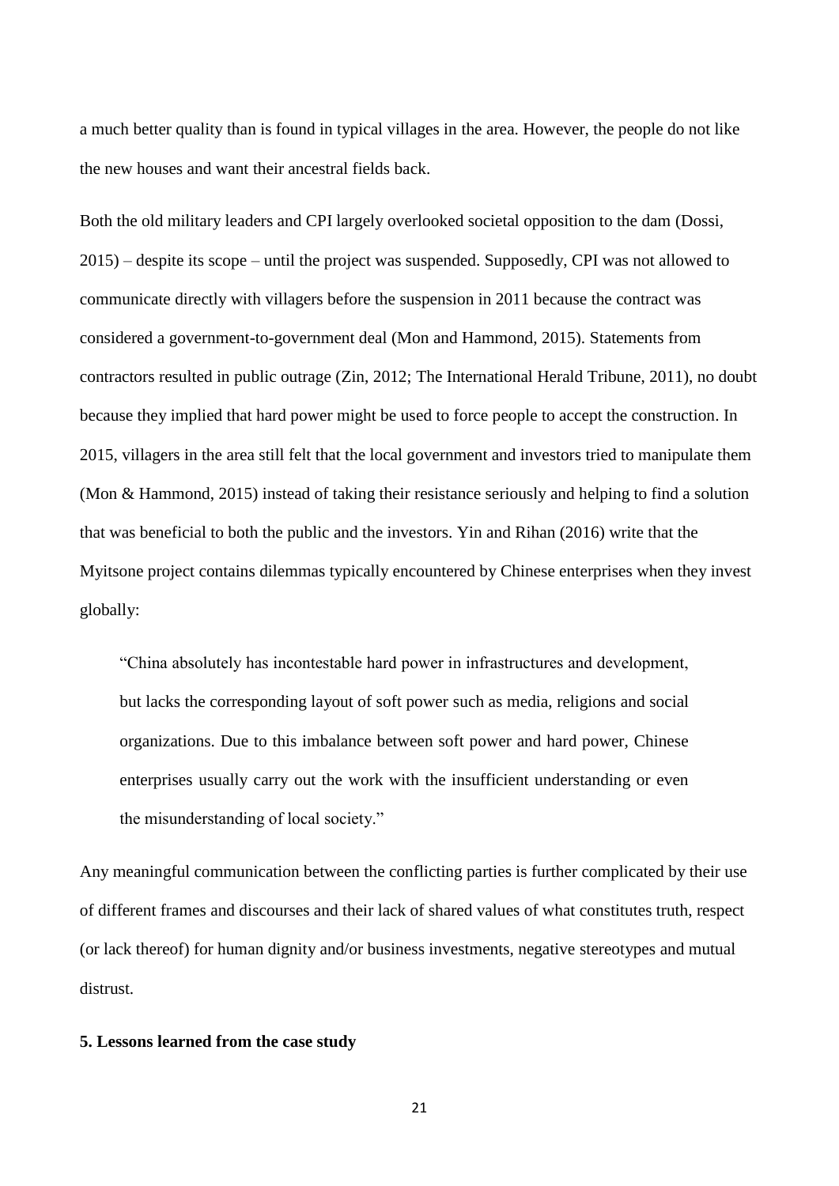a much better quality than is found in typical villages in the area. However, the people do not like the new houses and want their ancestral fields back.

Both the old military leaders and CPI largely overlooked societal opposition to the dam (Dossi, 2015) – despite its scope – until the project was suspended. Supposedly, CPI was not allowed to communicate directly with villagers before the suspension in 2011 because the contract was considered a government-to-government deal (Mon and Hammond, 2015). Statements from contractors resulted in public outrage (Zin, 2012; The International Herald Tribune, 2011), no doubt because they implied that hard power might be used to force people to accept the construction. In 2015, villagers in the area still felt that the local government and investors tried to manipulate them (Mon & Hammond, 2015) instead of taking their resistance seriously and helping to find a solution that was beneficial to both the public and the investors. Yin and Rihan (2016) write that the Myitsone project contains dilemmas typically encountered by Chinese enterprises when they invest globally:

"China absolutely has incontestable hard power in infrastructures and development, but lacks the corresponding layout of soft power such as media, religions and social organizations. Due to this imbalance between soft power and hard power, Chinese enterprises usually carry out the work with the insufficient understanding or even the misunderstanding of local society."

Any meaningful communication between the conflicting parties is further complicated by their use of different frames and discourses and their lack of shared values of what constitutes truth, respect (or lack thereof) for human dignity and/or business investments, negative stereotypes and mutual distrust.

## **5. Lessons learned from the case study**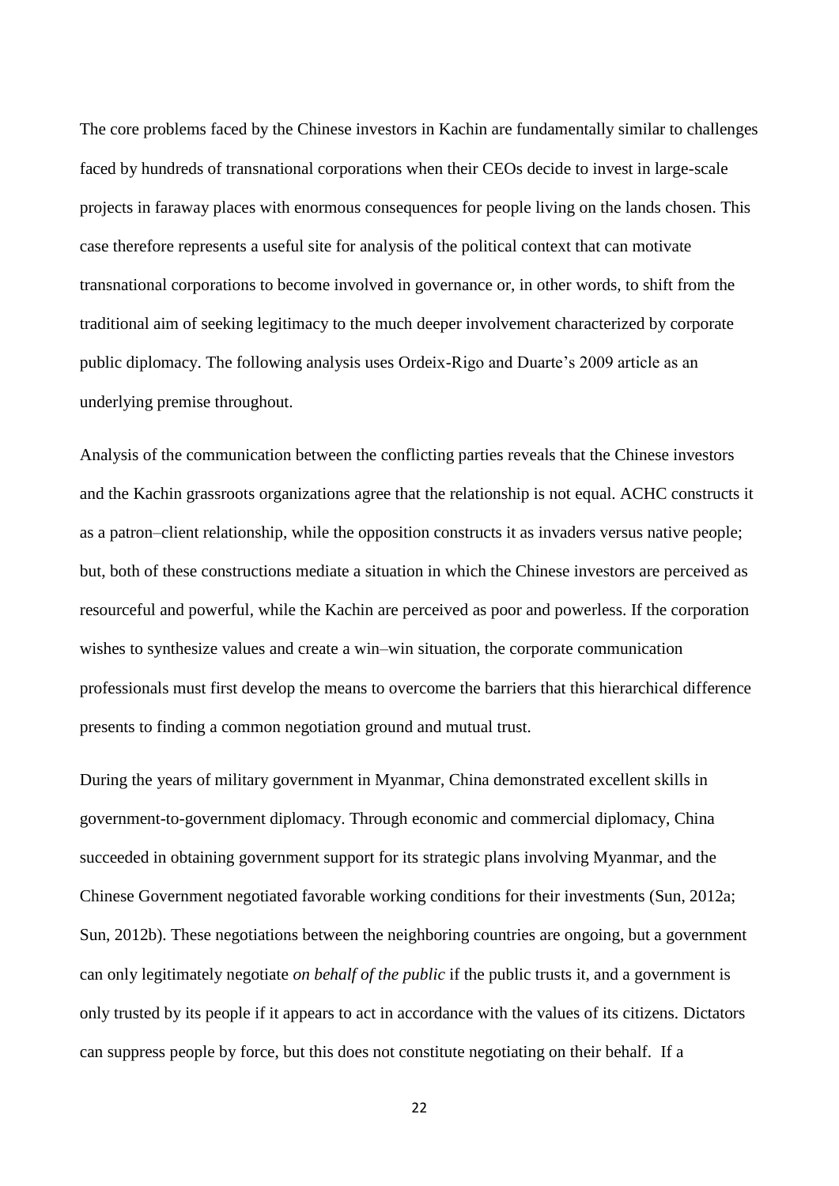The core problems faced by the Chinese investors in Kachin are fundamentally similar to challenges faced by hundreds of transnational corporations when their CEOs decide to invest in large-scale projects in faraway places with enormous consequences for people living on the lands chosen. This case therefore represents a useful site for analysis of the political context that can motivate transnational corporations to become involved in governance or, in other words, to shift from the traditional aim of seeking legitimacy to the much deeper involvement characterized by corporate public diplomacy. The following analysis uses Ordeix-Rigo and Duarte's 2009 article as an underlying premise throughout.

Analysis of the communication between the conflicting parties reveals that the Chinese investors and the Kachin grassroots organizations agree that the relationship is not equal. ACHC constructs it as a patron–client relationship, while the opposition constructs it as invaders versus native people; but, both of these constructions mediate a situation in which the Chinese investors are perceived as resourceful and powerful, while the Kachin are perceived as poor and powerless. If the corporation wishes to synthesize values and create a win–win situation, the corporate communication professionals must first develop the means to overcome the barriers that this hierarchical difference presents to finding a common negotiation ground and mutual trust.

During the years of military government in Myanmar, China demonstrated excellent skills in government-to-government diplomacy. Through economic and commercial diplomacy, China succeeded in obtaining government support for its strategic plans involving Myanmar, and the Chinese Government negotiated favorable working conditions for their investments (Sun, 2012a; Sun, 2012b). These negotiations between the neighboring countries are ongoing, but a government can only legitimately negotiate *on behalf of the public* if the public trusts it, and a government is only trusted by its people if it appears to act in accordance with the values of its citizens. Dictators can suppress people by force, but this does not constitute negotiating on their behalf. If a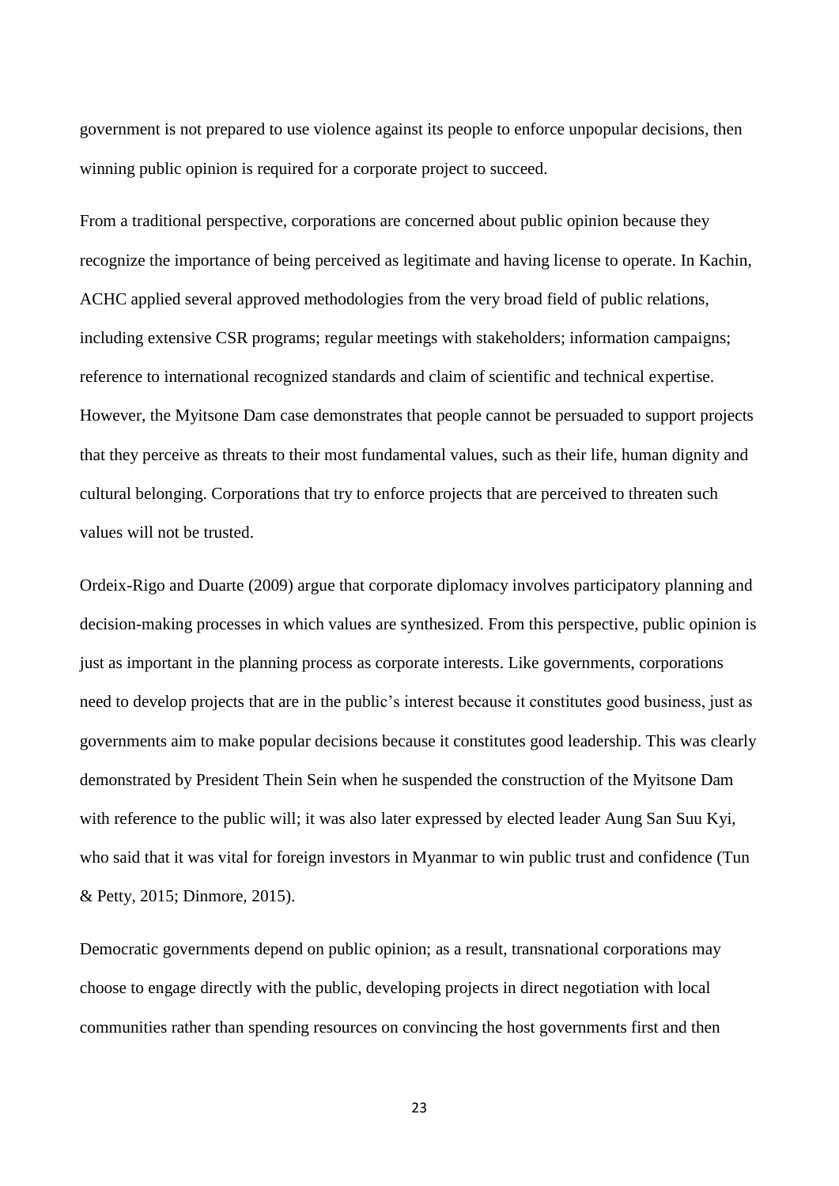government is not prepared to use violence against its people to enforce unpopular decisions, then winning public opinion is required for a corporate project to succeed.

From a traditional perspective, corporations are concerned about public opinion because they recognize the importance of being perceived as legitimate and having license to operate. In Kachin, ACHC applied several approved methodologies from the very broad field of public relations, including extensive CSR programs; regular meetings with stakeholders; information campaigns; reference to international recognized standards and claim of scientific and technical expertise. However, the Myitsone Dam case demonstrates that people cannot be persuaded to support projects that they perceive as threats to their most fundamental values, such as their life, human dignity and cultural belonging. Corporations that try to enforce projects that are perceived to threaten such values will not be trusted.

Ordeix-Rigo and Duarte (2009) argue that corporate diplomacy involves participatory planning and decision-making processes in which values are synthesized. From this perspective, public opinion is just as important in the planning process as corporate interests. Like governments, corporations need to develop projects that are in the public's interest because it constitutes good business, just as governments aim to make popular decisions because it constitutes good leadership. This was clearly demonstrated by President Thein Sein when he suspended the construction of the Myitsone Dam with reference to the public will; it was also later expressed by elected leader Aung San Suu Kyi, who said that it was vital for foreign investors in Myanmar to win public trust and confidence (Tun & Petty, 2015; Dinmore, 2015).

Democratic governments depend on public opinion; as a result, transnational corporations may choose to engage directly with the public, developing projects in direct negotiation with local communities rather than spending resources on convincing the host governments first and then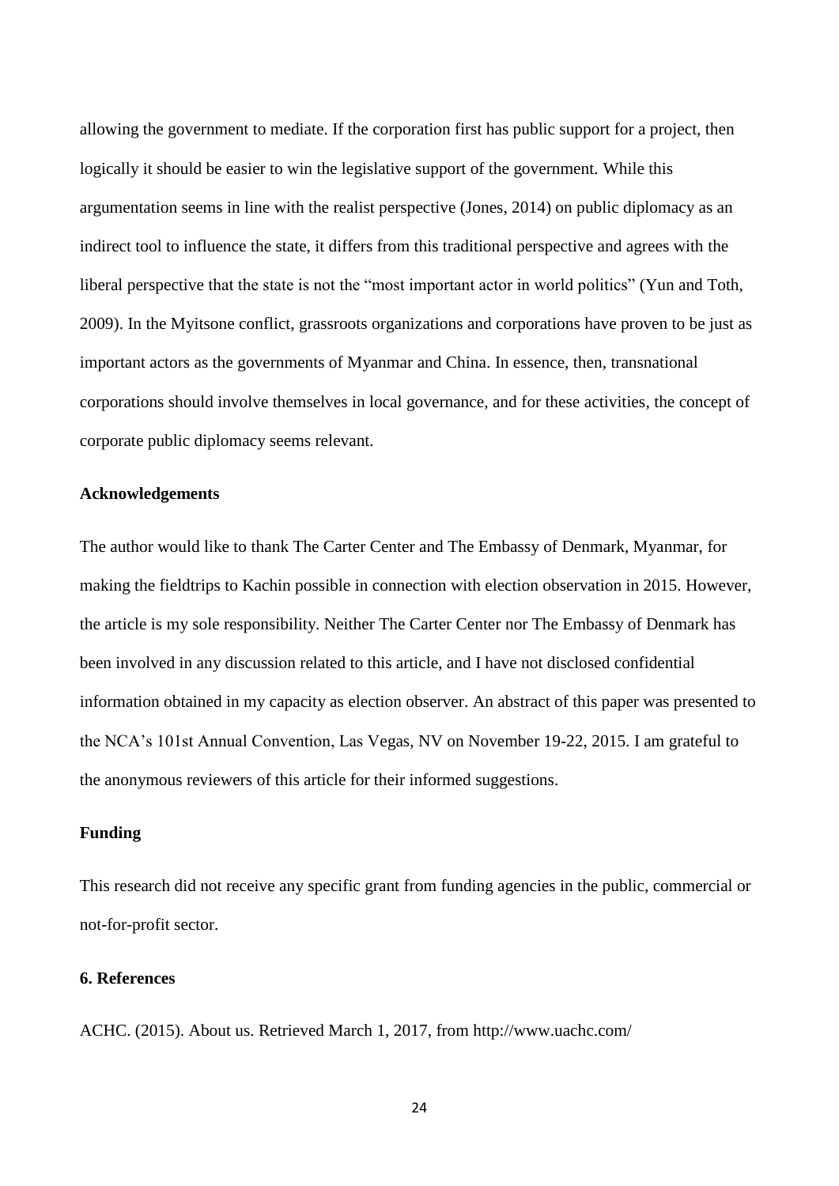allowing the government to mediate. If the corporation first has public support for a project, then logically it should be easier to win the legislative support of the government. While this argumentation seems in line with the realist perspective (Jones, 2014) on public diplomacy as an indirect tool to influence the state, it differs from this traditional perspective and agrees with the liberal perspective that the state is not the "most important actor in world politics" (Yun and Toth, 2009). In the Myitsone conflict, grassroots organizations and corporations have proven to be just as important actors as the governments of Myanmar and China. In essence, then, transnational corporations should involve themselves in local governance, and for these activities, the concept of corporate public diplomacy seems relevant.

## **Acknowledgements**

The author would like to thank The Carter Center and The Embassy of Denmark, Myanmar, for making the fieldtrips to Kachin possible in connection with election observation in 2015. However, the article is my sole responsibility. Neither The Carter Center nor The Embassy of Denmark has been involved in any discussion related to this article, and I have not disclosed confidential information obtained in my capacity as election observer. An abstract of this paper was presented to the NCA's 101st Annual Convention, Las Vegas, NV on November 19-22, 2015. I am grateful to the anonymous reviewers of this article for their informed suggestions.

### **Funding**

This research did not receive any specific grant from funding agencies in the public, commercial or not-for-profit sector.

## **6. References**

ACHC. (2015). About us. Retrieved March 1, 2017, from http://www.uachc.com/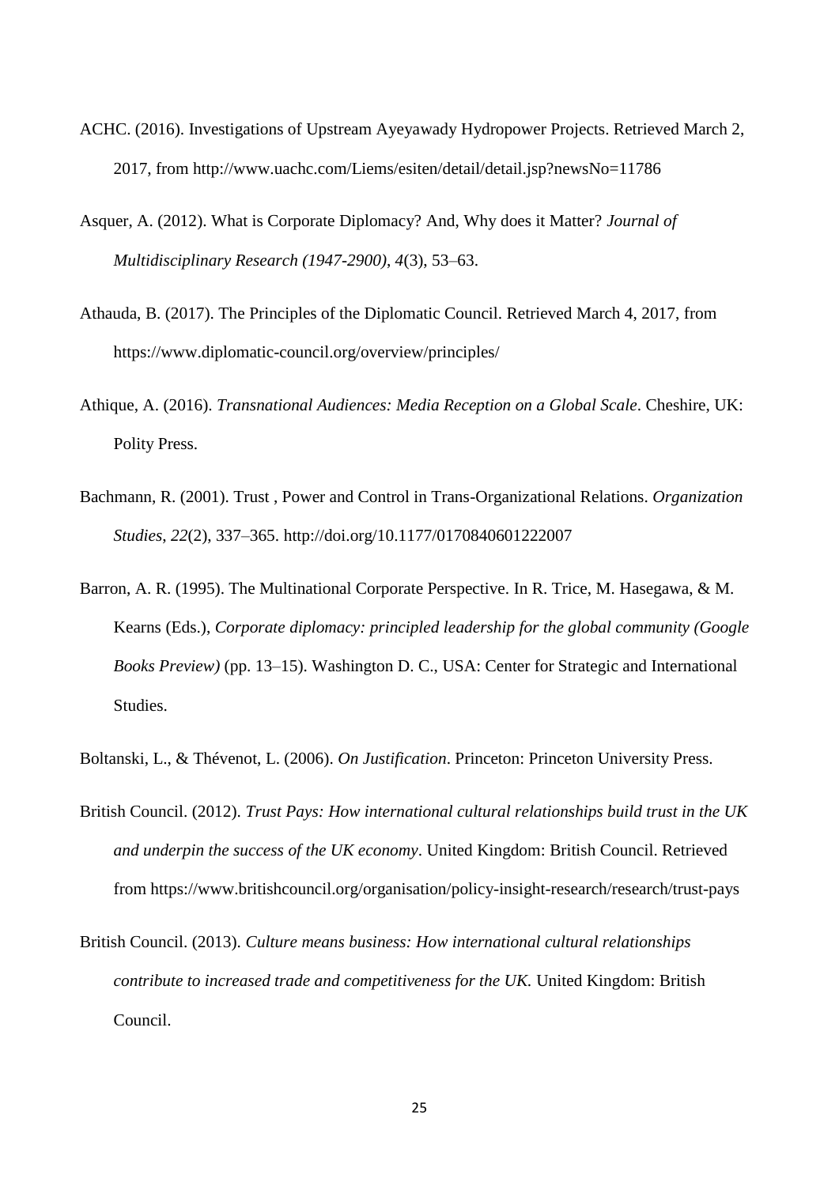- ACHC. (2016). Investigations of Upstream Ayeyawady Hydropower Projects. Retrieved March 2, 2017, from http://www.uachc.com/Liems/esiten/detail/detail.jsp?newsNo=11786
- Asquer, A. (2012). What is Corporate Diplomacy? And, Why does it Matter? *Journal of Multidisciplinary Research (1947-2900)*, *4*(3), 53–63.
- Athauda, B. (2017). The Principles of the Diplomatic Council. Retrieved March 4, 2017, from https://www.diplomatic-council.org/overview/principles/
- Athique, A. (2016). *Transnational Audiences: Media Reception on a Global Scale*. Cheshire, UK: Polity Press.
- Bachmann, R. (2001). Trust , Power and Control in Trans-Organizational Relations. *Organization Studies*, *22*(2), 337–365. http://doi.org/10.1177/0170840601222007
- Barron, A. R. (1995). The Multinational Corporate Perspective. In R. Trice, M. Hasegawa, & M. Kearns (Eds.), *Corporate diplomacy: principled leadership for the global community (Google Books Preview)* (pp. 13–15). Washington D. C., USA: Center for Strategic and International Studies.
- Boltanski, L., & Thévenot, L. (2006). *On Justification*. Princeton: Princeton University Press.
- British Council. (2012). *Trust Pays: How international cultural relationships build trust in the UK and underpin the success of the UK economy*. United Kingdom: British Council. Retrieved from https://www.britishcouncil.org/organisation/policy-insight-research/research/trust-pays
- British Council. (2013). *Culture means business: How international cultural relationships contribute to increased trade and competitiveness for the UK.* United Kingdom: British Council.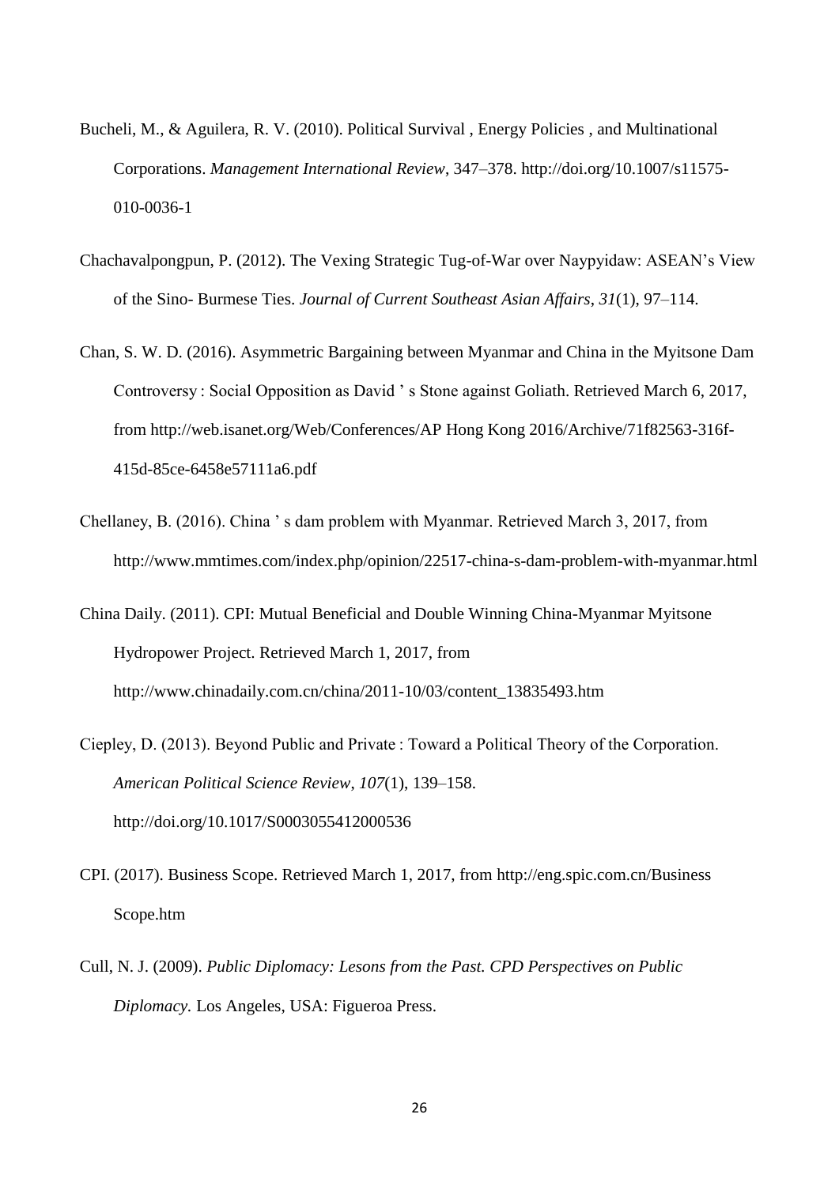- Bucheli, M., & Aguilera, R. V. (2010). Political Survival , Energy Policies , and Multinational Corporations. *Management International Review*, 347–378. http://doi.org/10.1007/s11575- 010-0036-1
- Chachavalpongpun, P. (2012). The Vexing Strategic Tug-of-War over Naypyidaw: ASEAN's View of the Sino- Burmese Ties. *Journal of Current Southeast Asian Affairs*, *31*(1), 97–114.
- Chan, S. W. D. (2016). Asymmetric Bargaining between Myanmar and China in the Myitsone Dam Controversy : Social Opposition as David ' s Stone against Goliath. Retrieved March 6, 2017, from http://web.isanet.org/Web/Conferences/AP Hong Kong 2016/Archive/71f82563-316f-415d-85ce-6458e57111a6.pdf
- Chellaney, B. (2016). China ' s dam problem with Myanmar. Retrieved March 3, 2017, from http://www.mmtimes.com/index.php/opinion/22517-china-s-dam-problem-with-myanmar.html
- China Daily. (2011). CPI: Mutual Beneficial and Double Winning China-Myanmar Myitsone Hydropower Project. Retrieved March 1, 2017, from http://www.chinadaily.com.cn/china/2011-10/03/content\_13835493.htm
- Ciepley, D. (2013). Beyond Public and Private : Toward a Political Theory of the Corporation. *American Political Science Review*, *107*(1), 139–158. http://doi.org/10.1017/S0003055412000536
- CPI. (2017). Business Scope. Retrieved March 1, 2017, from http://eng.spic.com.cn/Business Scope.htm
- Cull, N. J. (2009). *Public Diplomacy: Lesons from the Past. CPD Perspectives on Public Diplomacy.* Los Angeles, USA: Figueroa Press.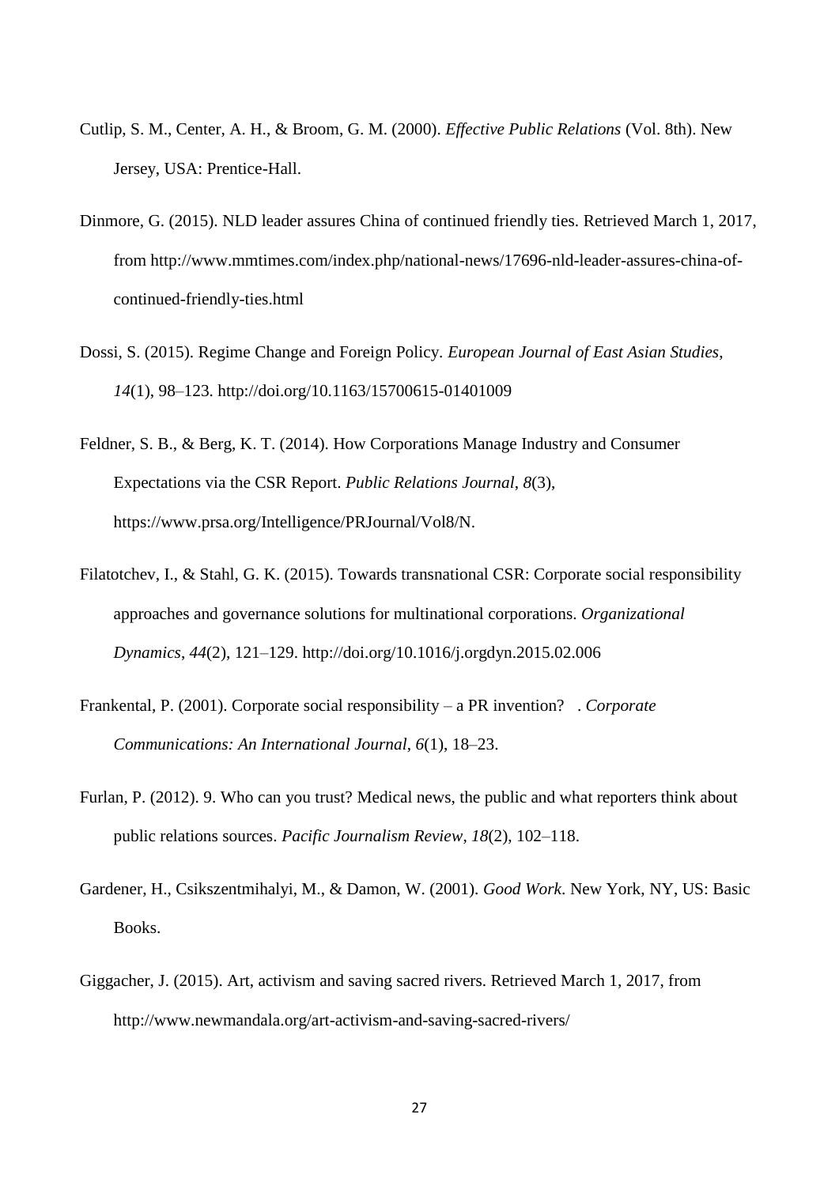- Cutlip, S. M., Center, A. H., & Broom, G. M. (2000). *Effective Public Relations* (Vol. 8th). New Jersey, USA: Prentice-Hall.
- Dinmore, G. (2015). NLD leader assures China of continued friendly ties. Retrieved March 1, 2017, from http://www.mmtimes.com/index.php/national-news/17696-nld-leader-assures-china-ofcontinued-friendly-ties.html
- Dossi, S. (2015). Regime Change and Foreign Policy. *European Journal of East Asian Studies*, *14*(1), 98–123. http://doi.org/10.1163/15700615-01401009
- Feldner, S. B., & Berg, K. T. (2014). How Corporations Manage Industry and Consumer Expectations via the CSR Report. *Public Relations Journal*, *8*(3), https://www.prsa.org/Intelligence/PRJournal/Vol8/N.
- Filatotchev, I., & Stahl, G. K. (2015). Towards transnational CSR: Corporate social responsibility approaches and governance solutions for multinational corporations. *Organizational Dynamics*, *44*(2), 121–129. http://doi.org/10.1016/j.orgdyn.2015.02.006
- Frankental, P. (2001). Corporate social responsibility a PR invention? . *Corporate Communications: An International Journal*, *6*(1), 18–23.
- Furlan, P. (2012). 9. Who can you trust? Medical news, the public and what reporters think about public relations sources. *Pacific Journalism Review*, *18*(2), 102–118.
- Gardener, H., Csikszentmihalyi, M., & Damon, W. (2001). *Good Work*. New York, NY, US: Basic Books.
- Giggacher, J. (2015). Art, activism and saving sacred rivers. Retrieved March 1, 2017, from http://www.newmandala.org/art-activism-and-saving-sacred-rivers/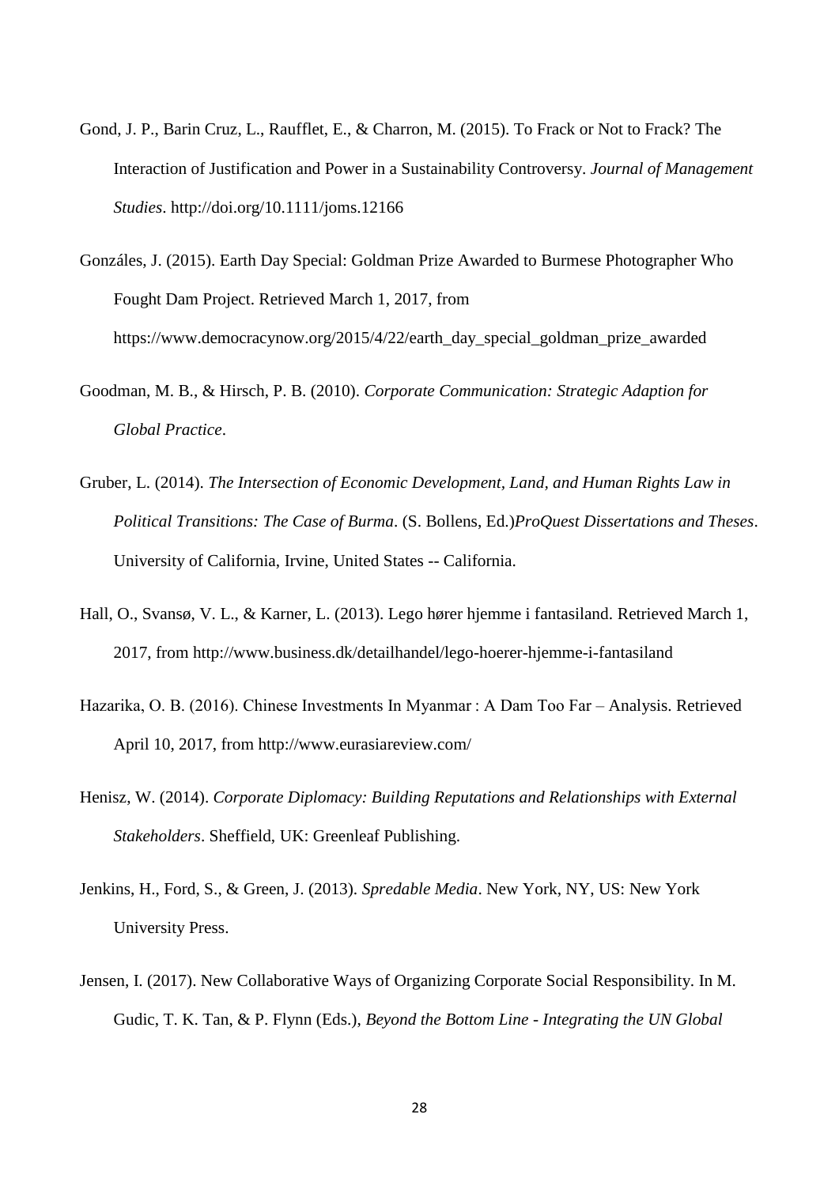- Gond, J. P., Barin Cruz, L., Raufflet, E., & Charron, M. (2015). To Frack or Not to Frack? The Interaction of Justification and Power in a Sustainability Controversy. *Journal of Management Studies*. http://doi.org/10.1111/joms.12166
- Gonzáles, J. (2015). Earth Day Special: Goldman Prize Awarded to Burmese Photographer Who Fought Dam Project. Retrieved March 1, 2017, from https://www.democracynow.org/2015/4/22/earth\_day\_special\_goldman\_prize\_awarded
- Goodman, M. B., & Hirsch, P. B. (2010). *Corporate Communication: Strategic Adaption for Global Practice*.
- Gruber, L. (2014). *The Intersection of Economic Development, Land, and Human Rights Law in Political Transitions: The Case of Burma*. (S. Bollens, Ed.)*ProQuest Dissertations and Theses*. University of California, Irvine, United States -- California.
- Hall, O., Svansø, V. L., & Karner, L. (2013). Lego hører hjemme i fantasiland. Retrieved March 1, 2017, from http://www.business.dk/detailhandel/lego-hoerer-hjemme-i-fantasiland
- Hazarika, O. B. (2016). Chinese Investments In Myanmar : A Dam Too Far Analysis. Retrieved April 10, 2017, from http://www.eurasiareview.com/
- Henisz, W. (2014). *Corporate Diplomacy: Building Reputations and Relationships with External Stakeholders*. Sheffield, UK: Greenleaf Publishing.
- Jenkins, H., Ford, S., & Green, J. (2013). *Spredable Media*. New York, NY, US: New York University Press.
- Jensen, I. (2017). New Collaborative Ways of Organizing Corporate Social Responsibility. In M. Gudic, T. K. Tan, & P. Flynn (Eds.), *Beyond the Bottom Line - Integrating the UN Global*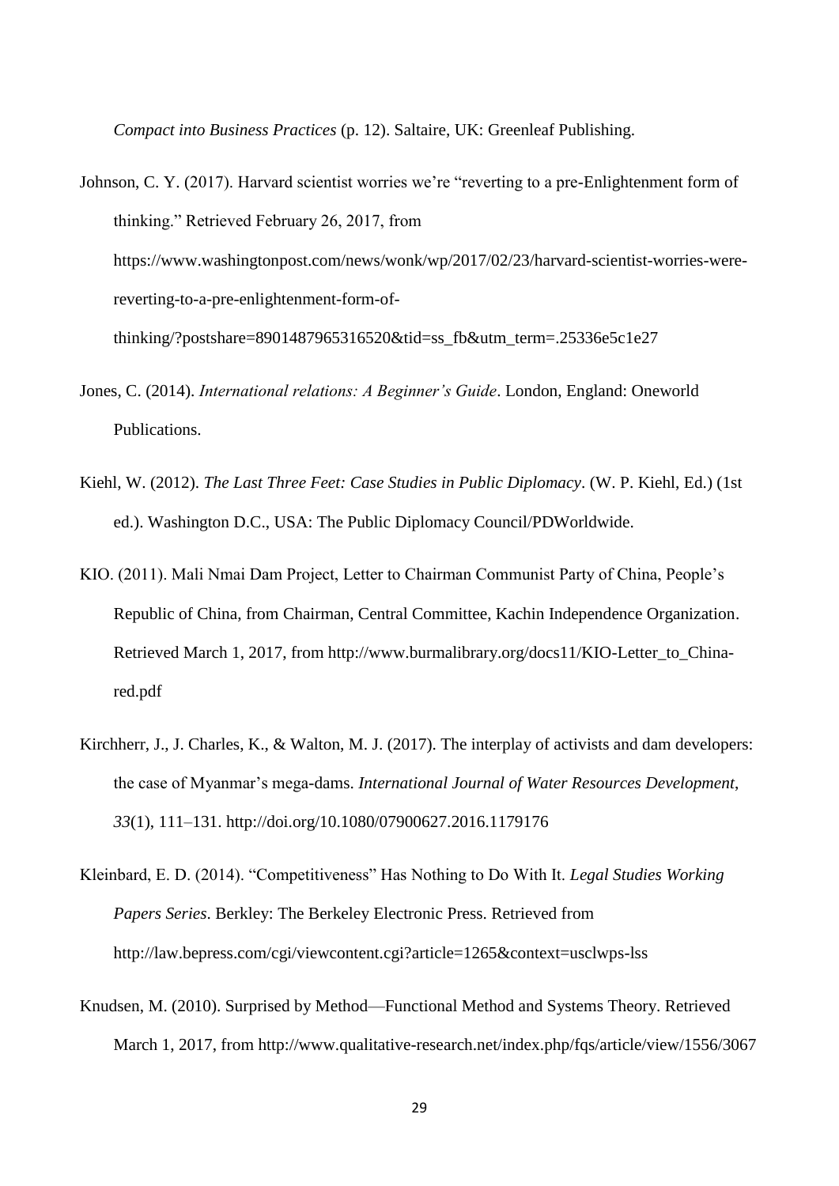*Compact into Business Practices* (p. 12). Saltaire, UK: Greenleaf Publishing.

- Johnson, C. Y. (2017). Harvard scientist worries we're "reverting to a pre-Enlightenment form of thinking." Retrieved February 26, 2017, from https://www.washingtonpost.com/news/wonk/wp/2017/02/23/harvard-scientist-worries-werereverting-to-a-pre-enlightenment-form-ofthinking/?postshare=8901487965316520&tid=ss\_fb&utm\_term=.25336e5c1e27
- Jones, C. (2014). *International relations: A Beginner's Guide*. London, England: Oneworld Publications.
- Kiehl, W. (2012). *The Last Three Feet: Case Studies in Public Diplomacy*. (W. P. Kiehl, Ed.) (1st ed.). Washington D.C., USA: The Public Diplomacy Council/PDWorldwide.
- KIO. (2011). Mali Nmai Dam Project, Letter to Chairman Communist Party of China, People's Republic of China, from Chairman, Central Committee, Kachin Independence Organization. Retrieved March 1, 2017, from http://www.burmalibrary.org/docs11/KIO-Letter\_to\_Chinared.pdf
- Kirchherr, J., J. Charles, K., & Walton, M. J. (2017). The interplay of activists and dam developers: the case of Myanmar's mega-dams. *International Journal of Water Resources Development*, *33*(1), 111–131. http://doi.org/10.1080/07900627.2016.1179176
- Kleinbard, E. D. (2014). "Competitiveness" Has Nothing to Do With It. *Legal Studies Working Papers Series*. Berkley: The Berkeley Electronic Press. Retrieved from http://law.bepress.com/cgi/viewcontent.cgi?article=1265&context=usclwps-lss
- Knudsen, M. (2010). Surprised by Method—Functional Method and Systems Theory. Retrieved March 1, 2017, from http://www.qualitative-research.net/index.php/fqs/article/view/1556/3067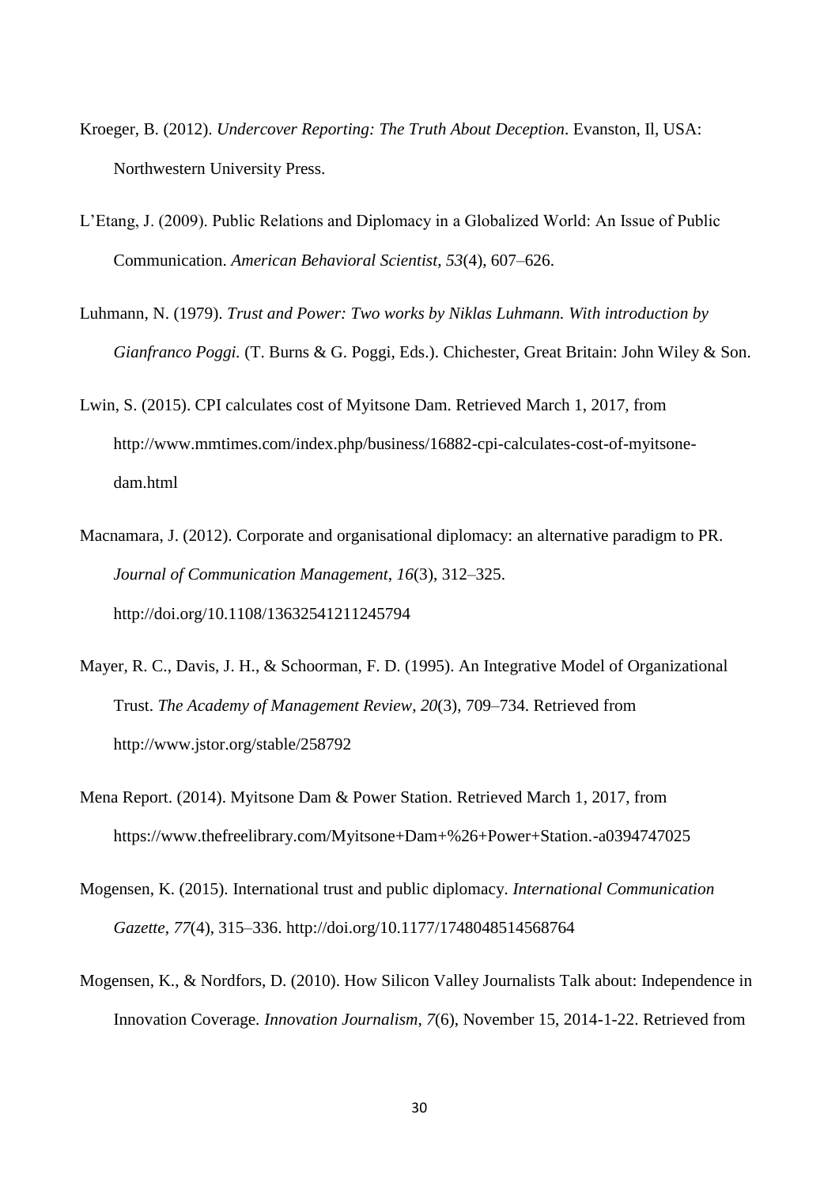- Kroeger, B. (2012). *Undercover Reporting: The Truth About Deception*. Evanston, Il, USA: Northwestern University Press.
- L'Etang, J. (2009). Public Relations and Diplomacy in a Globalized World: An Issue of Public Communication. *American Behavioral Scientist*, *53*(4), 607–626.
- Luhmann, N. (1979). *Trust and Power: Two works by Niklas Luhmann. With introduction by Gianfranco Poggi.* (T. Burns & G. Poggi, Eds.). Chichester, Great Britain: John Wiley & Son.
- Lwin, S. (2015). CPI calculates cost of Myitsone Dam. Retrieved March 1, 2017, from http://www.mmtimes.com/index.php/business/16882-cpi-calculates-cost-of-myitsonedam.html
- Macnamara, J. (2012). Corporate and organisational diplomacy: an alternative paradigm to PR. *Journal of Communication Management*, *16*(3), 312–325. http://doi.org/10.1108/13632541211245794
- Mayer, R. C., Davis, J. H., & Schoorman, F. D. (1995). An Integrative Model of Organizational Trust. *The Academy of Management Review*, *20*(3), 709–734. Retrieved from http://www.jstor.org/stable/258792
- Mena Report. (2014). Myitsone Dam & Power Station. Retrieved March 1, 2017, from https://www.thefreelibrary.com/Myitsone+Dam+%26+Power+Station.-a0394747025
- Mogensen, K. (2015). International trust and public diplomacy. *International Communication Gazette*, *77*(4), 315–336. http://doi.org/10.1177/1748048514568764
- Mogensen, K., & Nordfors, D. (2010). How Silicon Valley Journalists Talk about: Independence in Innovation Coverage. *Innovation Journalism*, *7*(6), November 15, 2014-1-22. Retrieved from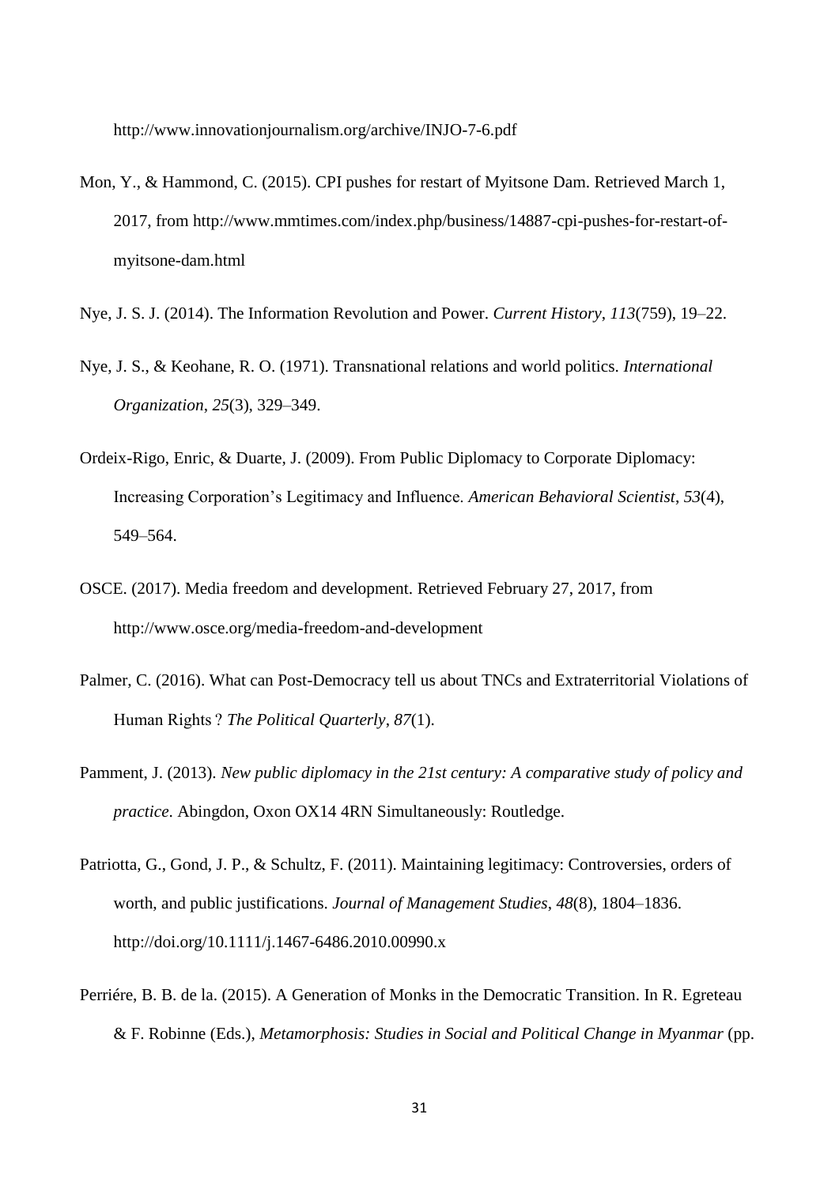http://www.innovationjournalism.org/archive/INJO-7-6.pdf

- Mon, Y., & Hammond, C. (2015). CPI pushes for restart of Myitsone Dam. Retrieved March 1, 2017, from http://www.mmtimes.com/index.php/business/14887-cpi-pushes-for-restart-ofmyitsone-dam.html
- Nye, J. S. J. (2014). The Information Revolution and Power. *Current History*, *113*(759), 19–22.
- Nye, J. S., & Keohane, R. O. (1971). Transnational relations and world politics. *International Organization*, *25*(3), 329–349.
- Ordeix-Rigo, Enric, & Duarte, J. (2009). From Public Diplomacy to Corporate Diplomacy: Increasing Corporation's Legitimacy and Influence. *American Behavioral Scientist*, *53*(4), 549–564.
- OSCE. (2017). Media freedom and development. Retrieved February 27, 2017, from http://www.osce.org/media-freedom-and-development
- Palmer, C. (2016). What can Post-Democracy tell us about TNCs and Extraterritorial Violations of Human Rights ? *The Political Quarterly*, *87*(1).
- Pamment, J. (2013). *New public diplomacy in the 21st century: A comparative study of policy and practice*. Abingdon, Oxon OX14 4RN Simultaneously: Routledge.
- Patriotta, G., Gond, J. P., & Schultz, F. (2011). Maintaining legitimacy: Controversies, orders of worth, and public justifications. *Journal of Management Studies*, *48*(8), 1804–1836. http://doi.org/10.1111/j.1467-6486.2010.00990.x
- Perriére, B. B. de la. (2015). A Generation of Monks in the Democratic Transition. In R. Egreteau & F. Robinne (Eds.), *Metamorphosis: Studies in Social and Political Change in Myanmar* (pp.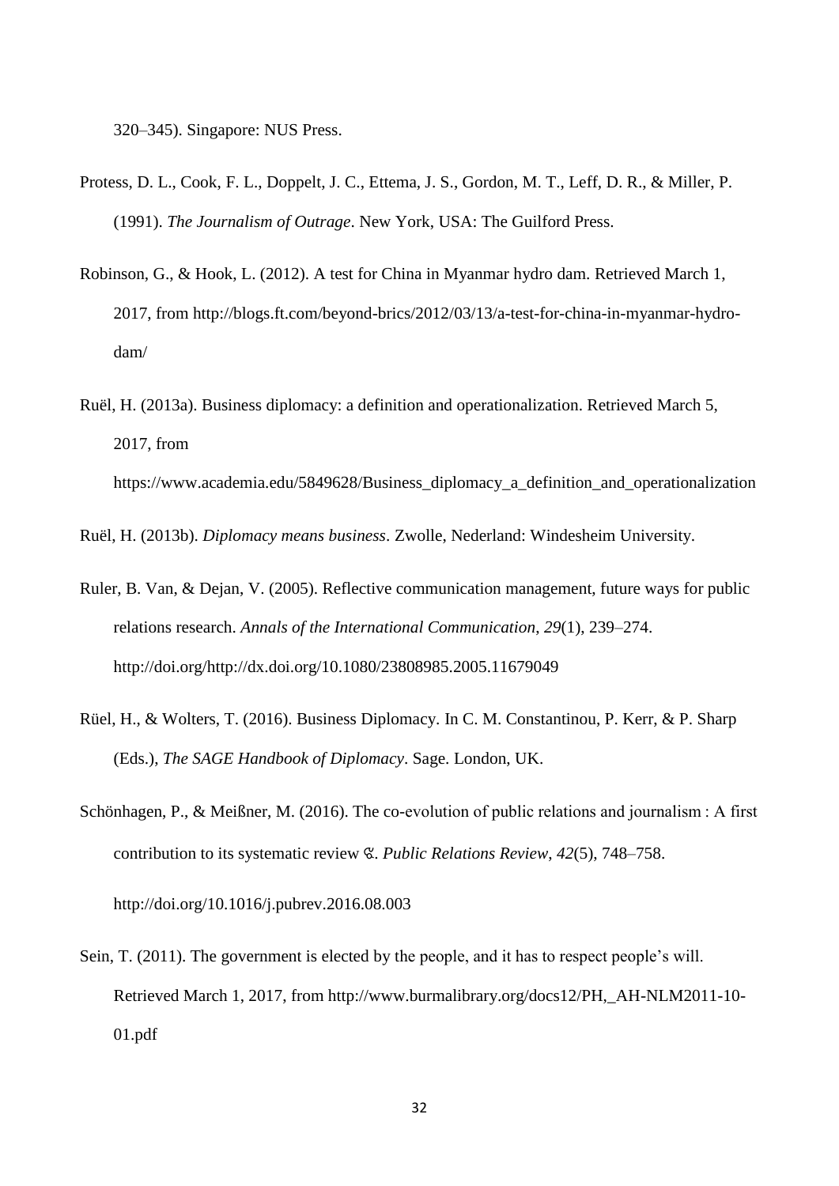320–345). Singapore: NUS Press.

- Protess, D. L., Cook, F. L., Doppelt, J. C., Ettema, J. S., Gordon, M. T., Leff, D. R., & Miller, P. (1991). *The Journalism of Outrage*. New York, USA: The Guilford Press.
- Robinson, G., & Hook, L. (2012). A test for China in Myanmar hydro dam. Retrieved March 1, 2017, from http://blogs.ft.com/beyond-brics/2012/03/13/a-test-for-china-in-myanmar-hydrodam/
- Ruël, H. (2013a). Business diplomacy: a definition and operationalization. Retrieved March 5, 2017, from

https://www.academia.edu/5849628/Business\_diplomacy\_a\_definition\_and\_operationalization

Ruël, H. (2013b). *Diplomacy means business*. Zwolle, Nederland: Windesheim University.

- Ruler, B. Van, & Dejan, V. (2005). Reflective communication management, future ways for public relations research. *Annals of the International Communication*, *29*(1), 239–274. http://doi.org/http://dx.doi.org/10.1080/23808985.2005.11679049
- Rüel, H., & Wolters, T. (2016). Business Diplomacy. In C. M. Constantinou, P. Kerr, & P. Sharp (Eds.), *The SAGE Handbook of Diplomacy*. Sage. London, UK.
- Schönhagen, P., & Meißner, M. (2016). The co-evolution of public relations and journalism : A first contribution to its systematic review ଝ. *Public Relations Review*, *42*(5), 748–758.

http://doi.org/10.1016/j.pubrev.2016.08.003

Sein, T. (2011). The government is elected by the people, and it has to respect people's will. Retrieved March 1, 2017, from http://www.burmalibrary.org/docs12/PH,\_AH-NLM2011-10- 01.pdf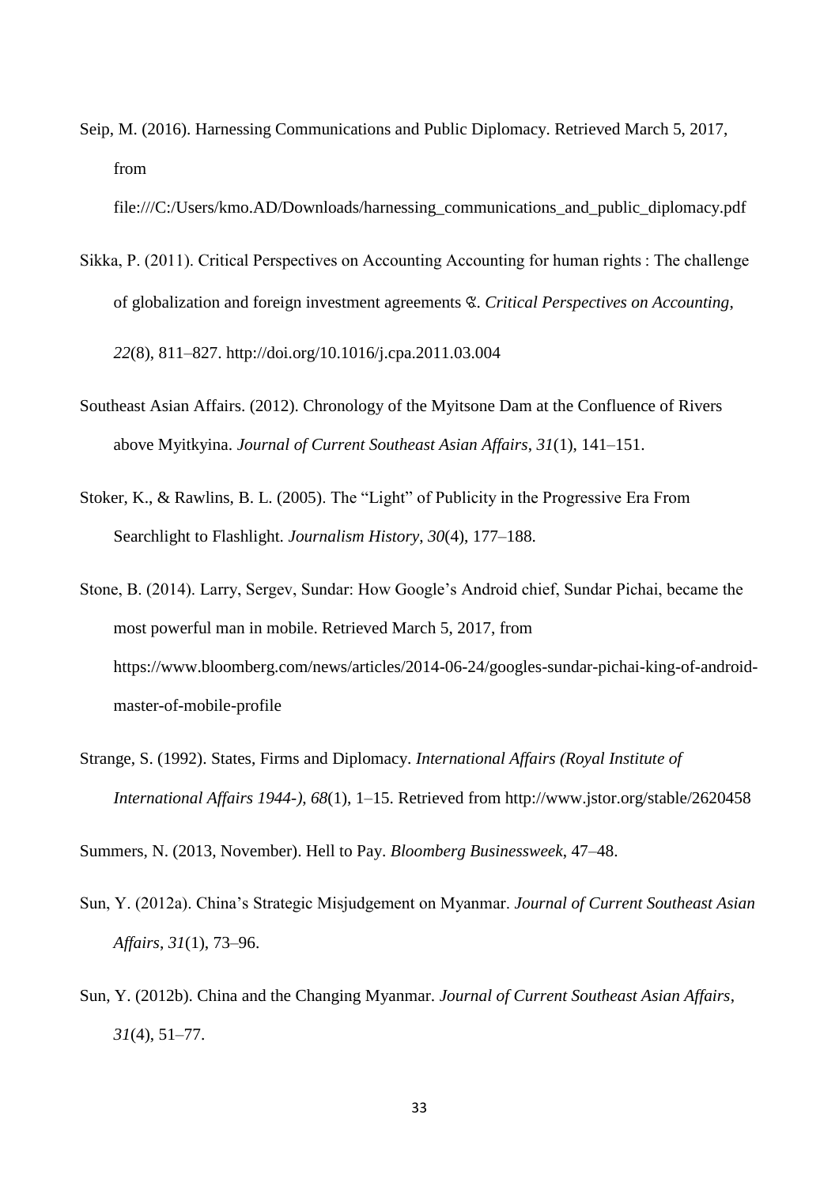Seip, M. (2016). Harnessing Communications and Public Diplomacy. Retrieved March 5, 2017, from

file:///C:/Users/kmo.AD/Downloads/harnessing\_communications\_and\_public\_diplomacy.pdf

- Sikka, P. (2011). Critical Perspectives on Accounting Accounting for human rights : The challenge of globalization and foreign investment agreements ଝ. *Critical Perspectives on Accounting*, *22*(8), 811–827. http://doi.org/10.1016/j.cpa.2011.03.004
- Southeast Asian Affairs. (2012). Chronology of the Myitsone Dam at the Confluence of Rivers above Myitkyina. *Journal of Current Southeast Asian Affairs*, *31*(1), 141–151.
- Stoker, K., & Rawlins, B. L. (2005). The "Light" of Publicity in the Progressive Era From Searchlight to Flashlight. *Journalism History*, *30*(4), 177–188.
- Stone, B. (2014). Larry, Sergev, Sundar: How Google's Android chief, Sundar Pichai, became the most powerful man in mobile. Retrieved March 5, 2017, from https://www.bloomberg.com/news/articles/2014-06-24/googles-sundar-pichai-king-of-androidmaster-of-mobile-profile
- Strange, S. (1992). States, Firms and Diplomacy. *International Affairs (Royal Institute of International Affairs 1944-)*, *68*(1), 1–15. Retrieved from http://www.jstor.org/stable/2620458

Summers, N. (2013, November). Hell to Pay. *Bloomberg Businessweek*, 47–48.

- Sun, Y. (2012a). China's Strategic Misjudgement on Myanmar. *Journal of Current Southeast Asian Affairs*, *31*(1), 73–96.
- Sun, Y. (2012b). China and the Changing Myanmar. *Journal of Current Southeast Asian Affairs*, *31*(4), 51–77.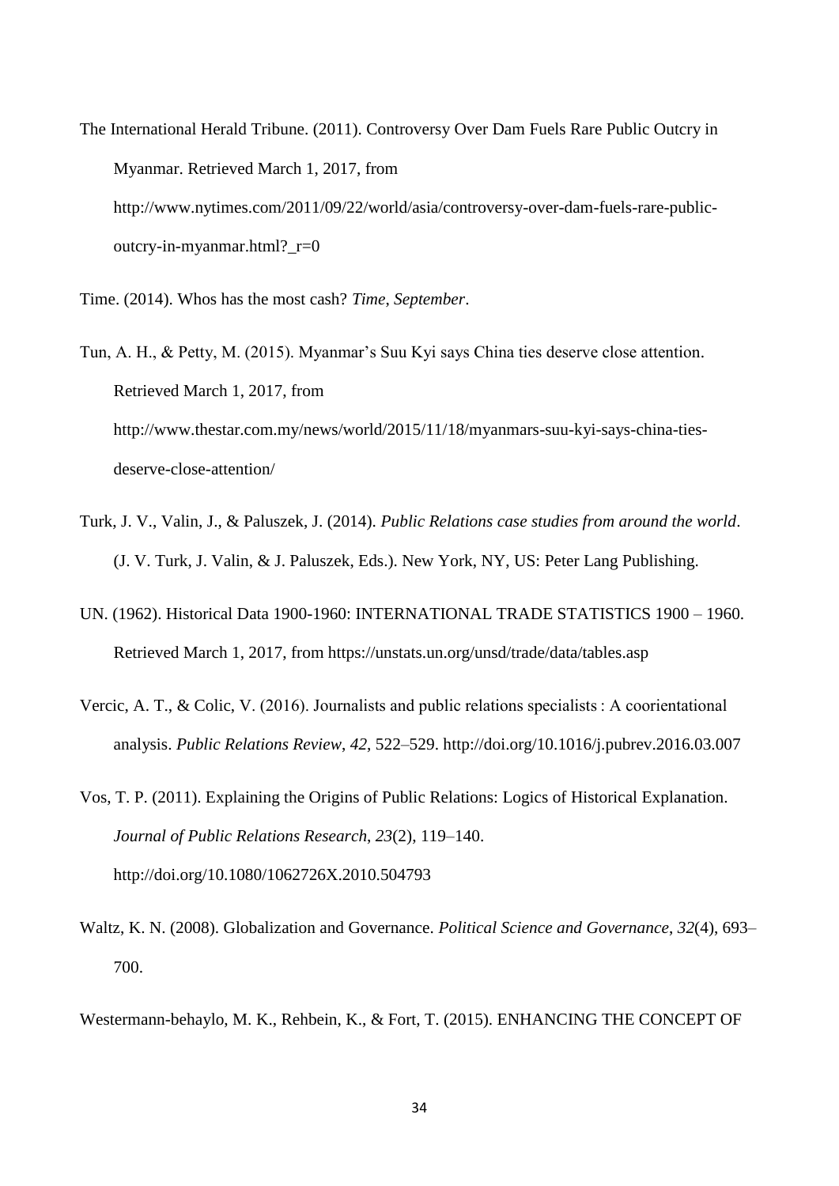The International Herald Tribune. (2011). Controversy Over Dam Fuels Rare Public Outcry in Myanmar. Retrieved March 1, 2017, from http://www.nytimes.com/2011/09/22/world/asia/controversy-over-dam-fuels-rare-publicoutcry-in-myanmar.html?\_r=0

Time. (2014). Whos has the most cash? *Time*, *September*.

Tun, A. H., & Petty, M. (2015). Myanmar's Suu Kyi says China ties deserve close attention. Retrieved March 1, 2017, from http://www.thestar.com.my/news/world/2015/11/18/myanmars-suu-kyi-says-china-tiesdeserve-close-attention/

- Turk, J. V., Valin, J., & Paluszek, J. (2014). *Public Relations case studies from around the world*. (J. V. Turk, J. Valin, & J. Paluszek, Eds.). New York, NY, US: Peter Lang Publishing.
- UN. (1962). Historical Data 1900-1960: INTERNATIONAL TRADE STATISTICS 1900 1960. Retrieved March 1, 2017, from https://unstats.un.org/unsd/trade/data/tables.asp
- Vercic, A. T., & Colic, V. (2016). Journalists and public relations specialists : A coorientational analysis. *Public Relations Review*, *42*, 522–529. http://doi.org/10.1016/j.pubrev.2016.03.007
- Vos, T. P. (2011). Explaining the Origins of Public Relations: Logics of Historical Explanation. *Journal of Public Relations Research*, *23*(2), 119–140. http://doi.org/10.1080/1062726X.2010.504793
- Waltz, K. N. (2008). Globalization and Governance. *Political Science and Governance*, *32*(4), 693– 700.

Westermann-behaylo, M. K., Rehbein, K., & Fort, T. (2015). ENHANCING THE CONCEPT OF